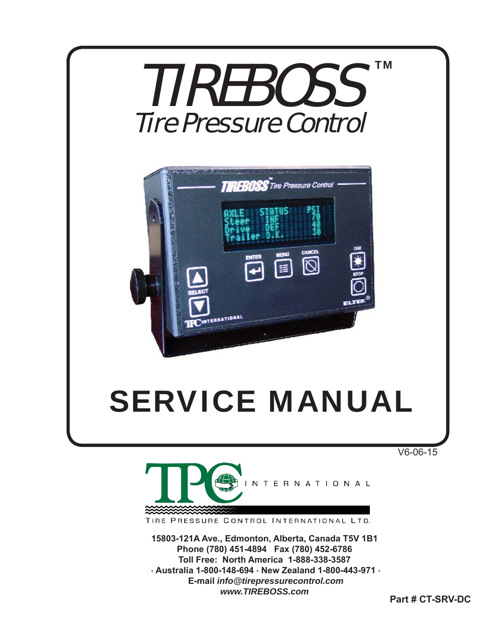

V6-06-15



TIRE PRESSURE CONTROL INTERNATIONAL LTD.

**15803-121A Ave., Edmonton, Alberta, Canada T5V 1B1 Phone (780) 451-4894 Fax (780) 452-6786 Toll Free: North America 1-888-338-3587 . Australia 1-800-148-694 . New Zealand 1-800-443-971 . E-mail** *info@tirepressurecontrol.com www.TIREBOSS.com*

**Part # CT-SRV-DC**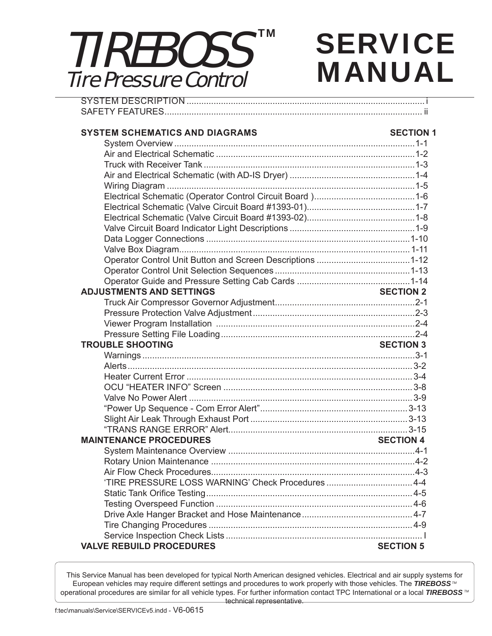### SVSTEM DESCRIPTION TIREBOSS Tire Pressure Control TM

# **SERVICE** MANUAL

| <b>SYSTEM SCHEMATICS AND DIAGRAMS</b>             | <b>SECTION 1</b> |
|---------------------------------------------------|------------------|
|                                                   |                  |
|                                                   |                  |
|                                                   |                  |
|                                                   |                  |
|                                                   |                  |
|                                                   |                  |
|                                                   |                  |
|                                                   |                  |
|                                                   |                  |
|                                                   |                  |
|                                                   |                  |
|                                                   |                  |
|                                                   |                  |
|                                                   |                  |
| <b>ADJUSTMENTS AND SETTINGS</b>                   | <b>SECTION 2</b> |
|                                                   |                  |
|                                                   |                  |
|                                                   |                  |
|                                                   |                  |
| <b>TROUBLE SHOOTING</b>                           | <b>SECTION 3</b> |
|                                                   |                  |
|                                                   |                  |
|                                                   |                  |
|                                                   |                  |
|                                                   |                  |
|                                                   |                  |
|                                                   |                  |
|                                                   |                  |
| <b>MAINTENANCE PROCEDURES</b>                     | <b>SECTION 4</b> |
|                                                   |                  |
|                                                   |                  |
|                                                   |                  |
| 'TIRE PRESSURE LOSS WARNING' Check Procedures 4-4 |                  |
|                                                   |                  |
|                                                   |                  |
|                                                   |                  |
|                                                   |                  |
|                                                   |                  |
| <b>VALVE REBUILD PROCEDURES</b>                   | <b>SECTION 5</b> |

This Service Manual has been developed for typical North American designed vehicles. Electrical and air supply systems for European vehicles may require different settings and procedures to work properly with those vehicles. The *TIREBOSS*<sup>™</sup> operational procedures are similar for all vehicle types. For further information contact TPC International or a local *TIREBOSS TM* technical representative.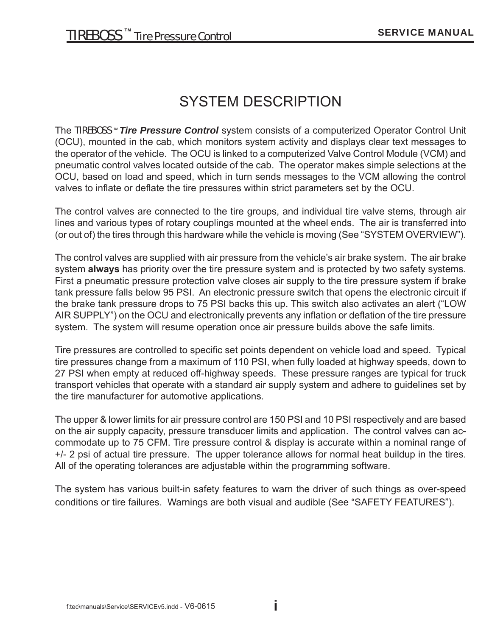### SYSTEM DESCRIPTION

The TIREBOSS <sup>*m*</sup> Tire Pressure Control system consists of a computerized Operator Control Unit (OCU), mounted in the cab, which monitors system activity and displays clear text messages to the operator of the vehicle. The OCU is linked to a computerized Valve Control Module (VCM) and pneumatic control valves located outside of the cab. The operator makes simple selections at the OCU, based on load and speed, which in turn sends messages to the VCM allowing the control valves to inflate or deflate the tire pressures within strict parameters set by the OCU.

The control valves are connected to the tire groups, and individual tire valve stems, through air lines and various types of rotary couplings mounted at the wheel ends. The air is transferred into (or out of) the tires through this hardware while the vehicle is moving (See "SYSTEM OVERVIEW").

The control valves are supplied with air pressure from the vehicle's air brake system. The air brake system **always** has priority over the tire pressure system and is protected by two safety systems. First a pneumatic pressure protection valve closes air supply to the tire pressure system if brake tank pressure falls below 95 PSI. An electronic pressure switch that opens the electronic circuit if the brake tank pressure drops to 75 PSI backs this up. This switch also activates an alert ("LOW AIR SUPPLY") on the OCU and electronically prevents any inflation or deflation of the tire pressure system. The system will resume operation once air pressure builds above the safe limits.

Tire pressures are controlled to specific set points dependent on vehicle load and speed. Typical tire pressures change from a maximum of 110 PSI, when fully loaded at highway speeds, down to 27 PSI when empty at reduced off-highway speeds. These pressure ranges are typical for truck transport vehicles that operate with a standard air supply system and adhere to guidelines set by the tire manufacturer for automotive applications.

The upper & lower limits for air pressure control are 150 PSI and 10 PSI respectively and are based on the air supply capacity, pressure transducer limits and application. The control valves can accommodate up to 75 CFM. Tire pressure control & display is accurate within a nominal range of +/- 2 psi of actual tire pressure. The upper tolerance allows for normal heat buildup in the tires. All of the operating tolerances are adjustable within the programming software.

The system has various built-in safety features to warn the driver of such things as over-speed conditions or tire failures. Warnings are both visual and audible (See "SAFETY FEATURES").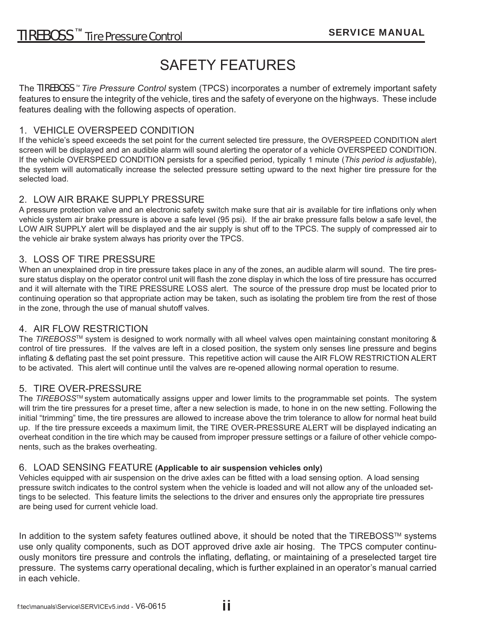### SAFETY FEATURES

The TIREBOSS<sup>™</sup> Tire Pressure Control system (TPCS) incorporates a number of extremely important safety features to ensure the integrity of the vehicle, tires and the safety of everyone on the highways. These include features dealing with the following aspects of operation.

#### 1. VEHICLE OVERSPEED CONDITION

If the vehicle's speed exceeds the set point for the current selected tire pressure, the OVERSPEED CONDITION alert screen will be displayed and an audible alarm will sound alerting the operator of a vehicle OVERSPEED CONDITION. If the vehicle OVERSPEED CONDITION persists for a specified period, typically 1 minute (*This period is adjustable*), the system will automatically increase the selected pressure setting upward to the next higher tire pressure for the selected load.

#### 2. LOW AIR BRAKE SUPPLY PRESSURE

A pressure protection valve and an electronic safety switch make sure that air is available for tire inflations only when vehicle system air brake pressure is above a safe level (95 psi). If the air brake pressure falls below a safe level, the LOW AIR SUPPLY alert will be displayed and the air supply is shut off to the TPCS. The supply of compressed air to the vehicle air brake system always has priority over the TPCS.

#### 3. LOSS OF TIRE PRESSURE

When an unexplained drop in tire pressure takes place in any of the zones, an audible alarm will sound. The tire pressure status display on the operator control unit will flash the zone display in which the loss of tire pressure has occurred and it will alternate with the TIRE PRESSURE LOSS alert. The source of the pressure drop must be located prior to continuing operation so that appropriate action may be taken, such as isolating the problem tire from the rest of those in the zone, through the use of manual shutoff valves.

#### 4. AIR FLOW RESTRICTION

The *TIREBOSS*TM system is designed to work normally with all wheel valves open maintaining constant monitoring & control of tire pressures. If the valves are left in a closed position, the system only senses line pressure and begins inflating & deflating past the set point pressure. This repetitive action will cause the AIR FLOW RESTRICTION ALERT to be activated. This alert will continue until the valves are re-opened allowing normal operation to resume.

#### 5. TIRE OVER-PRESSURE

The *TIREBOSS*TM system automatically assigns upper and lower limits to the programmable set points. The system will trim the tire pressures for a preset time, after a new selection is made, to hone in on the new setting. Following the initial "trimming" time, the tire pressures are allowed to increase above the trim tolerance to allow for normal heat build up. If the tire pressure exceeds a maximum limit, the TIRE OVER-PRESSURE ALERT will be displayed indicating an overheat condition in the tire which may be caused from improper pressure settings or a failure of other vehicle components, such as the brakes overheating.

#### 6. LOAD SENSING FEATURE **(Applicable to air suspension vehicles only)**

Vehicles equipped with air suspension on the drive axles can be fitted with a load sensing option. A load sensing pressure switch indicates to the control system when the vehicle is loaded and will not allow any of the unloaded settings to be selected. This feature limits the selections to the driver and ensures only the appropriate tire pressures are being used for current vehicle load.

In addition to the system safety features outlined above, it should be noted that the TIREBOSS™ systems use only quality components, such as DOT approved drive axle air hosing. The TPCS computer continuously monitors tire pressure and controls the inflating, deflating, or maintaining of a preselected target tire pressure. The systems carry operational decaling, which is further explained in an operator's manual carried in each vehicle.

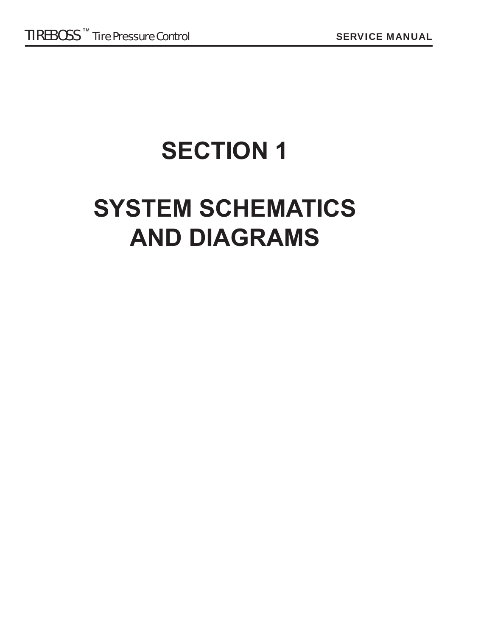## **SECTION 1**

## **SYSTEM SCHEMATICS AND DIAGRAMS**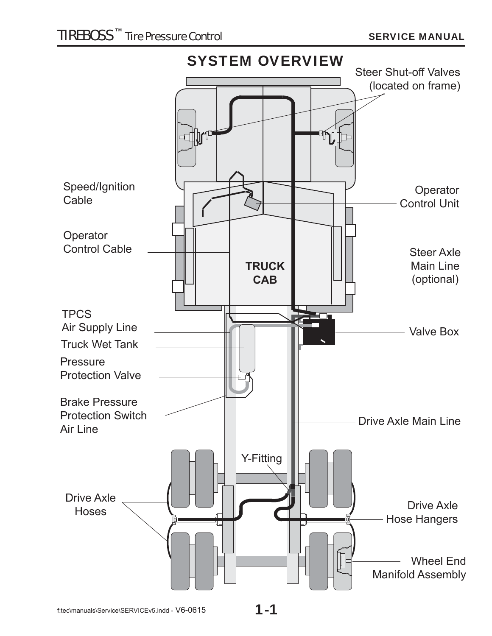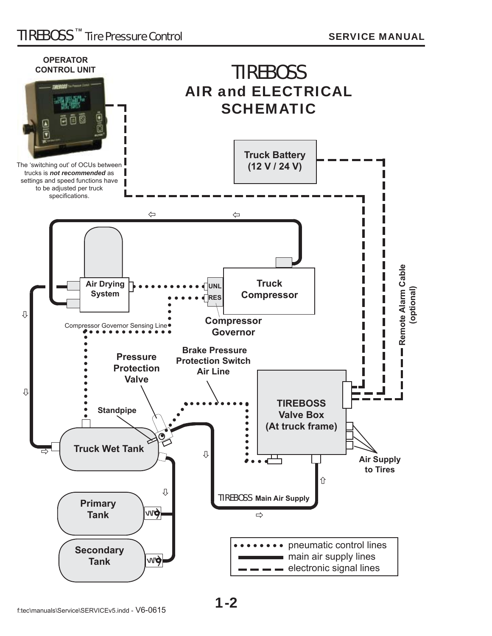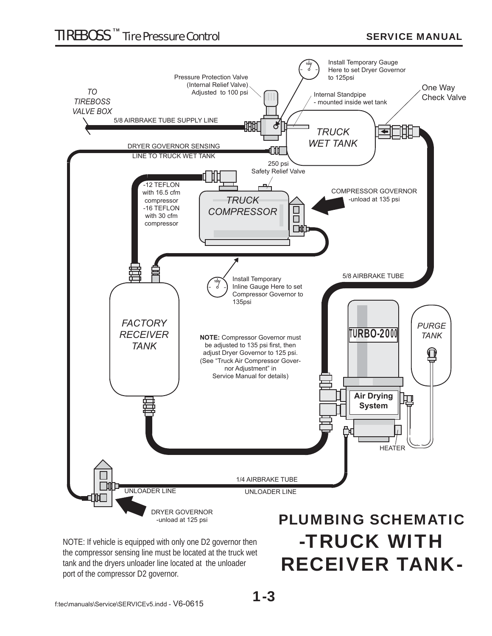### TIREBOSS TM Tire Pressure Control SERVICE MANUAL



NOTE: If vehicle is equipped with only one D2 governor then the compressor sensing line must be located at the truck wet tank and the dryers unloader line located at the unloader port of the compressor D2 governor.

# -TRUCK WITH RECEIVER TANK-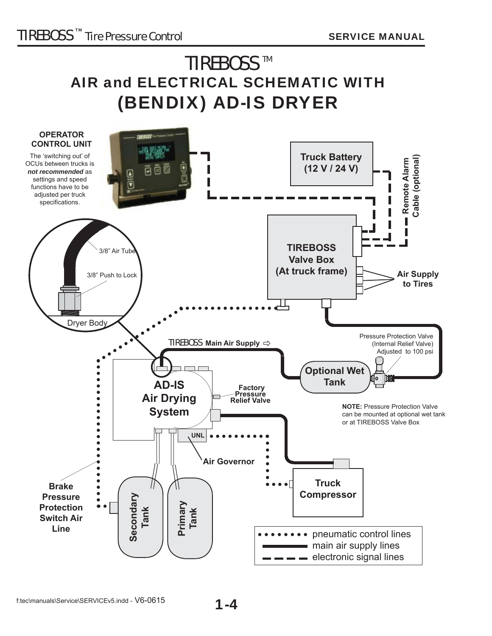### **TIREBOSS™** AIR and ELECTRICAL SCHEMATIC WITH (BENDIX) AD-IS DRYER

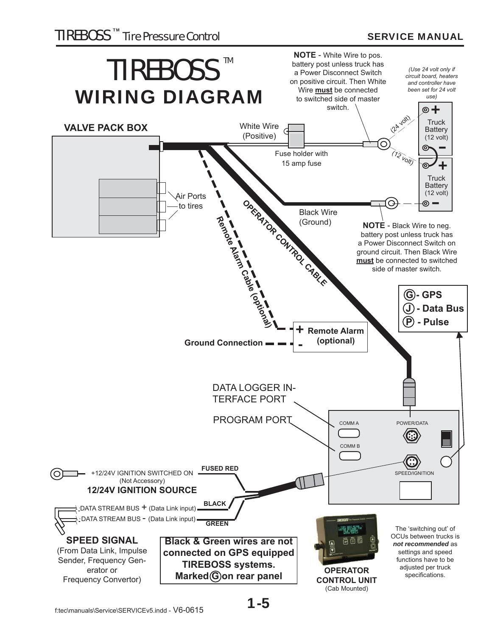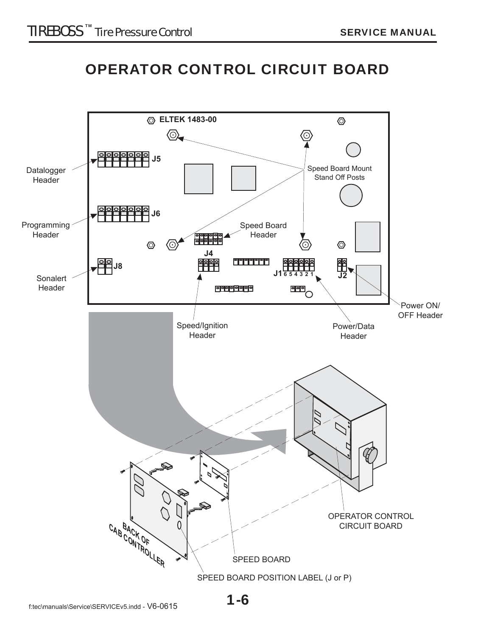### OPERATOR CONTROL CIRCUIT BOARD

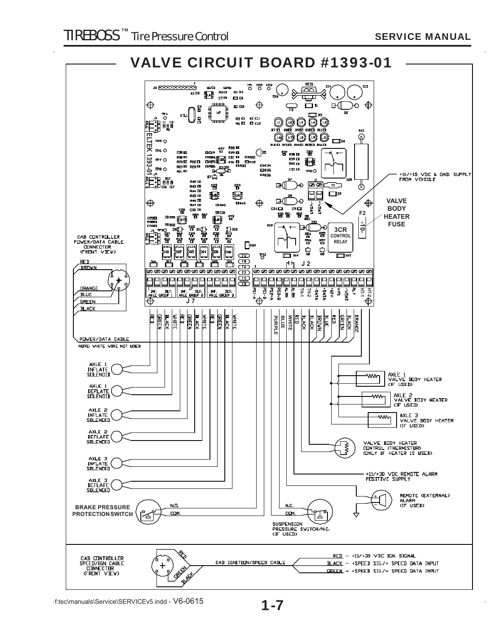

1-7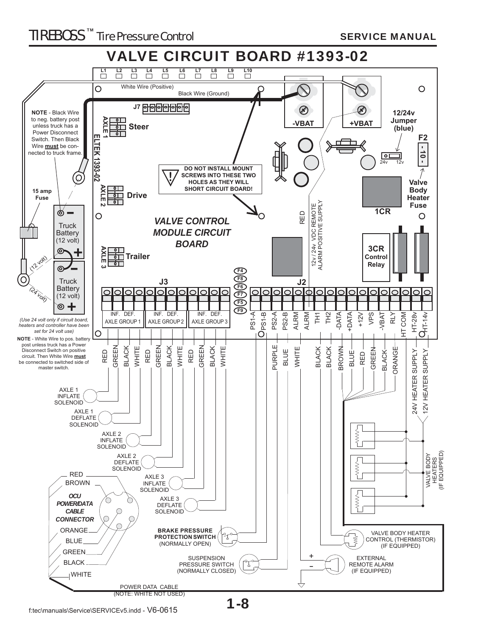#### TIREBOSS TM Tire Pressure Control SERVICE MANUAL

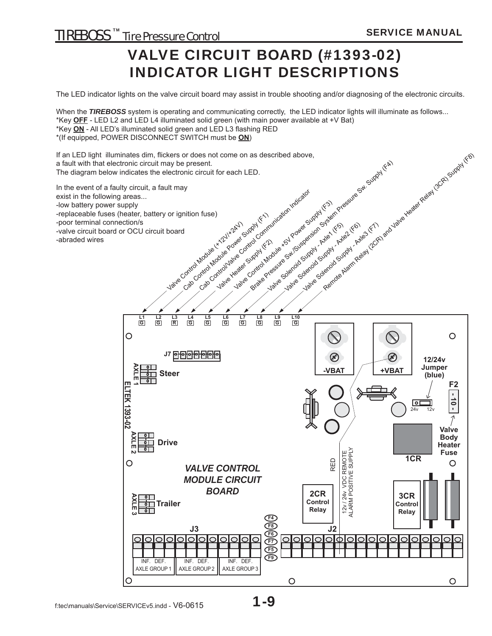### VALVE CIRCUIT BOARD (#1393-02) INDICATOR LIGHT DESCRIPTIONS

The LED indicator lights on the valve circuit board may assist in trouble shooting and/or diagnosing of the electronic circuits.

When the **TIREBOSS** system is operating and communicating correctly, the LED indicator lights will illuminate as follows...

\*Key **OFF** - LED L2 and LED L4 illuminated solid green (with main power available at +V Bat)

\*Key ON - All LED's illuminated solid green and LED L3 flashing RED

\*(If equipped, POWER DISCONNECT SWITCH must be **ON**)

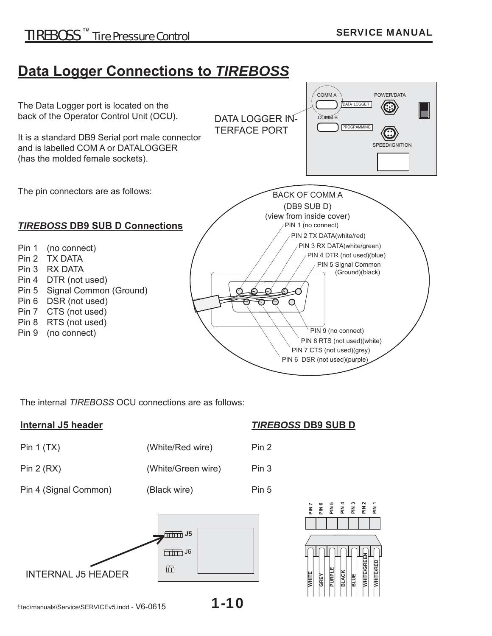### **Data Logger Connections to** *TIREBOSS*



The internal *TIREBOSS* OCU connections are as follows:

Pin 1 (TX) (White/Red wire)

Pin 2 (RX) (White/Green wire) Pin 3

Pin 4 (Signal Common) (Black wire) Pin 5



#### **Internal J5 header** *TIREBOSS* **DB9 SUB D**

| ⊃in |
|-----|
|     |

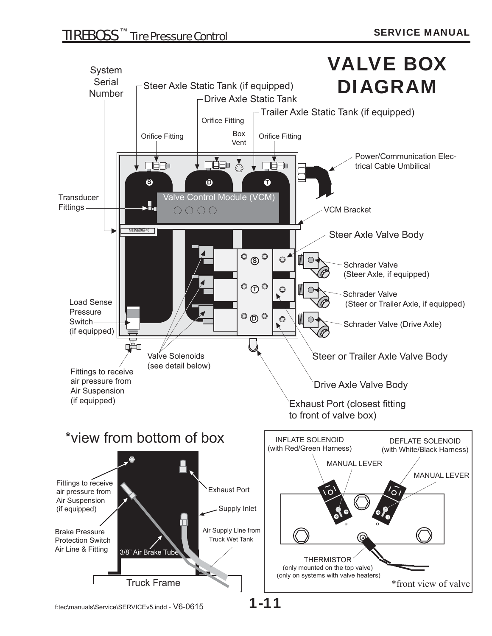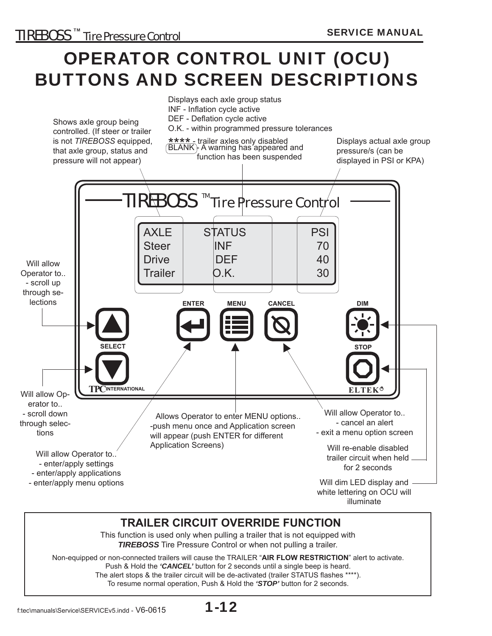## OPERATOR CONTROL UNIT (OCU) BUTTONS AND SCREEN DESCRIPTIONS



Non-equipped or non-connected trailers will cause the TRAILER "**AIR FLOW RESTRICTION**" alert to activate. Push & Hold the *'CANCEL'* button for 2 seconds until a single beep is heard. The alert stops & the trailer circuit will be de-activated (trailer STATUS flashes \*\*\*\*). To resume normal operation, Push & Hold the *'STOP'* button for 2 seconds.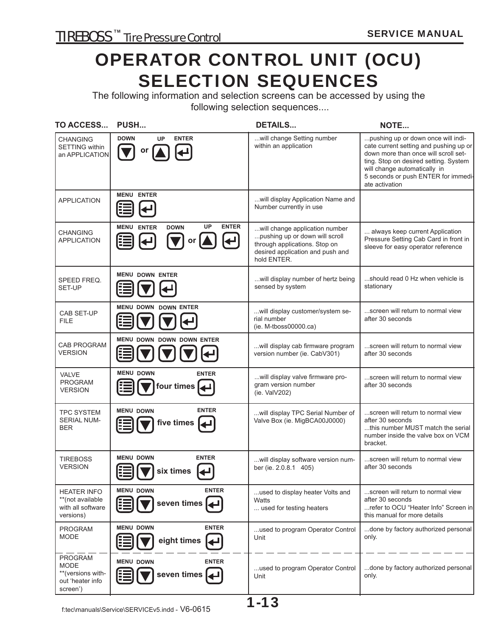### OPERATOR CONTROL UNIT (OCU) SELECTION SEQUENCES

The following information and selection screens can be accessed by using the following selection sequences....

| TO ACCESS                                                                          | PUSH                                                                                                                                                                                           | <b>DETAILS</b>                                                                                                                                       | NOTE                                                                                                                                                                                                                                                   |
|------------------------------------------------------------------------------------|------------------------------------------------------------------------------------------------------------------------------------------------------------------------------------------------|------------------------------------------------------------------------------------------------------------------------------------------------------|--------------------------------------------------------------------------------------------------------------------------------------------------------------------------------------------------------------------------------------------------------|
| CHANGING<br><b>SETTING</b> within<br>an APPLICATION                                | <b>DOWN</b><br><b>ENTER</b><br><b>UP</b><br>or                                                                                                                                                 | will change Setting number<br>within an application                                                                                                  | pushing up or down once will indi-<br>cate current setting and pushing up or<br>down more than once will scroll set-<br>ting. Stop on desired setting. System<br>will change automatically in<br>5 seconds or push ENTER for immedi-<br>ate activation |
| <b>APPLICATION</b>                                                                 | <b>MENU ENTER</b><br>E                                                                                                                                                                         | will display Application Name and<br>Number currently in use                                                                                         |                                                                                                                                                                                                                                                        |
| <b>CHANGING</b><br><b>APPLICATION</b>                                              | <b>UP</b><br><b>ENTER</b><br><b>MENU ENTER</b><br><b>DOWN</b><br>$\left[\blacktriangleleft\right]$<br>$\boxed{\blacktriangledown}$ or $\boxed{\blacktriangle}$<br>闺<br>$\left[\rightleftarrow$ | will change application number<br>pushing up or down will scroll<br>through applications. Stop on<br>desired application and push and<br>hold ENTER. | always keep current Application<br>Pressure Setting Cab Card in front in<br>sleeve for easy operator reference                                                                                                                                         |
| SPEED FREQ.<br>SET-UP                                                              | <b>MENU DOWN ENTER</b><br>疆                                                                                                                                                                    | will display number of hertz being<br>sensed by system                                                                                               | should read 0 Hz when vehicle is<br>stationary                                                                                                                                                                                                         |
| <b>CAB SET-UP</b><br><b>FILE</b>                                                   | <b>MENU DOWN DOWN ENTER</b><br>Œ                                                                                                                                                               | will display customer/system se-<br>rial number<br>$(ie. M-tboss00000.ca)$                                                                           | screen will return to normal view<br>after 30 seconds                                                                                                                                                                                                  |
| <b>CAB PROGRAM</b><br>VERSION                                                      | <b>MENU DOWN DOWN DOWN ENTER</b><br>信                                                                                                                                                          | will display cab firmware program<br>version number (ie. CabV301)                                                                                    | screen will return to normal view<br>after 30 seconds                                                                                                                                                                                                  |
| <b>VALVE</b><br><b>PROGRAM</b><br><b>VERSION</b>                                   | <b>MENU DOWN</b><br><b>ENTER</b><br>four times $\blacktriangleleft$<br>逼                                                                                                                       | will display valve firmware pro-<br>gram version number<br>(ie. ValV202)                                                                             | screen will return to normal view<br>after 30 seconds                                                                                                                                                                                                  |
| <b>TPC SYSTEM</b><br><b>SERIAL NUM-</b><br><b>BER</b>                              | <b>ENTER</b><br><b>MENU DOWN</b><br>five times $\blacktriangleright$<br>洼                                                                                                                      | will display TPC Serial Number of<br>Valve Box (ie. MigBCA00J0000)                                                                                   | screen will return to normal view<br>after 30 seconds<br>this number MUST match the serial<br>number inside the valve box on VCM<br>bracket.                                                                                                           |
| <b>TIREBOSS</b><br><b>VERSION</b>                                                  | <b>MENU DOWN</b><br><b>ENTER</b><br>Œ<br>six times                                                                                                                                             | will display software version num-<br>ber (ie. 2.0.8.1 405)                                                                                          | screen will return to normal view<br>after 30 seconds                                                                                                                                                                                                  |
| <b>HEATER INFO</b><br>**(not available<br>with all software<br>versions)           | <b>ENTER</b><br><b>MENU DOWN</b><br>seven times 4                                                                                                                                              | used to display heater Volts and<br>Watts<br>used for testing heaters                                                                                | screen will return to normal view<br>after 30 seconds<br>refer to OCU "Heater Info" Screen in<br>this manual for more details                                                                                                                          |
| <b>PROGRAM</b><br><b>MODE</b>                                                      | <b>ENTER</b><br><b>MENU DOWN</b><br>eight times                                                                                                                                                | used to program Operator Control<br>Unit                                                                                                             | done by factory authorized personal<br>only.                                                                                                                                                                                                           |
| <b>PROGRAM</b><br><b>MODE</b><br>**(versions with-<br>out 'heater info<br>screen') | <b>MENU DOWN</b><br><b>ENTER</b><br>seven times                                                                                                                                                | used to program Operator Control<br>Unit                                                                                                             | done by factory authorized personal<br>only.                                                                                                                                                                                                           |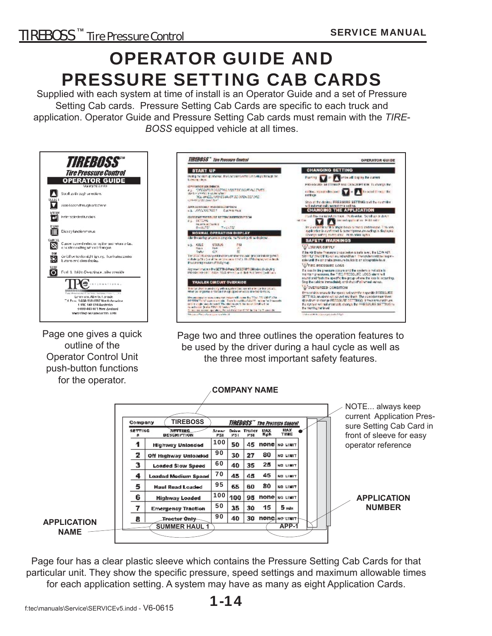## OPERATOR GUIDE AND PRESSURE SETTING CAB CARDS

Supplied with each system at time of install is an Operator Guide and a set of Pressure Setting Cab cards. Pressure Setting Cab Cards are specific to each truck and application. Operator Guide and Pressure Setting Cab cards must remain with the *TIRE-BOSS* equipped vehicle at all times.



Page one gives a quick outline of the Operator Control Unit push-button functions for the operator.



Page two and three outlines the operation features to be used by the driver during a haul cycle as well as the three most important safety features.



Page four has a clear plastic sleeve which contains the Pressure Setting Cab Cards for that particular unit. They show the specific pressure, speed settings and maximum allowable times for each application setting. A system may have as many as eight Application Cards.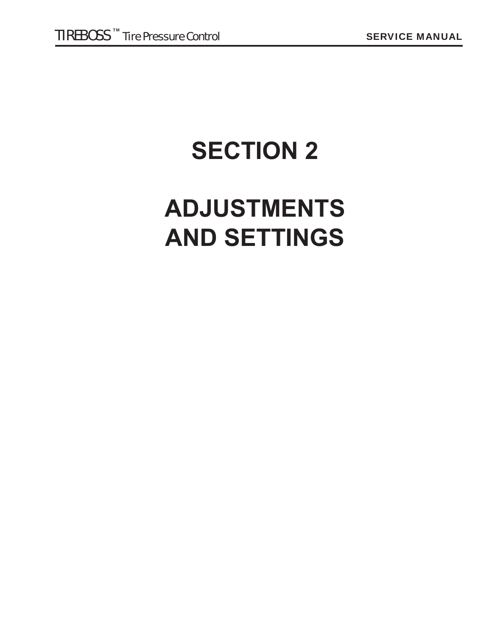# **SECTION 2**

## **ADJUSTMENTS AND SETTINGS**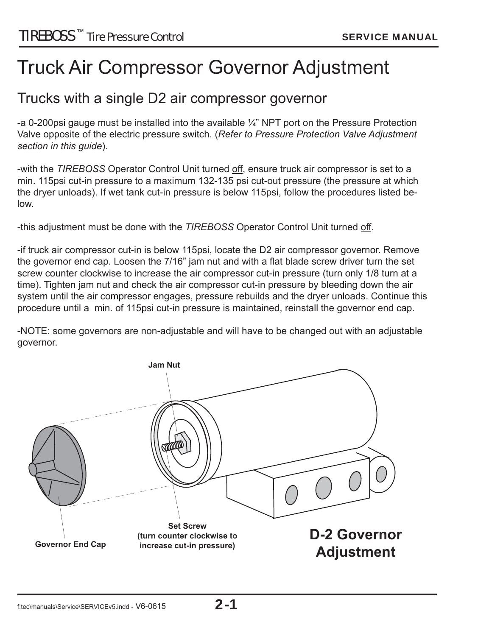### Truck Air Compressor Governor Adjustment

### Trucks with a single D2 air compressor governor

-a 0-200psi gauge must be installed into the available ¼" NPT port on the Pressure Protection Valve opposite of the electric pressure switch. (*Refer to Pressure Protection Valve Adjustment section in this guide*).

-with the *TIREBOSS* Operator Control Unit turned off , ensure truck air compressor is set to a min. 115psi cut-in pressure to a maximum 132-135 psi cut-out pressure (the pressure at which the dryer unloads). If wet tank cut-in pressure is below 115psi, follow the procedures listed below.

-this adjustment must be done with the *TIREBOSS* Operator Control Unit turned off .

-if truck air compressor cut-in is below 115psi, locate the D2 air compressor governor. Remove the governor end cap. Loosen the 7/16" jam nut and with a flat blade screw driver turn the set screw counter clockwise to increase the air compressor cut-in pressure (turn only 1/8 turn at a time). Tighten jam nut and check the air compressor cut-in pressure by bleeding down the air system until the air compressor engages, pressure rebuilds and the dryer unloads. Continue this procedure until a min. of 115psi cut-in pressure is maintained, reinstall the governor end cap.

-NOTE: some governors are non-adjustable and will have to be changed out with an adjustable governor.

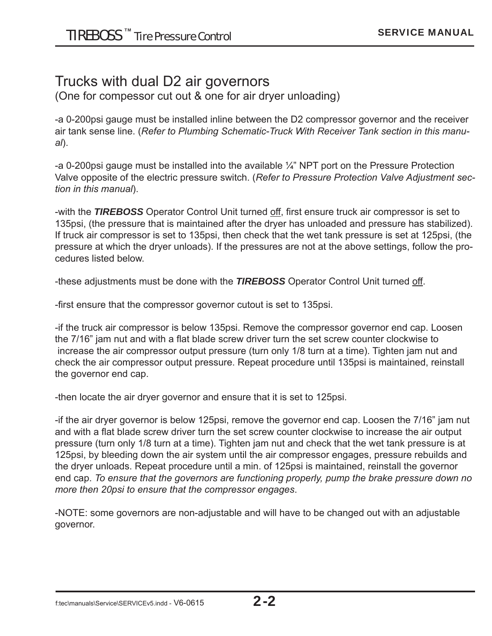### Trucks with dual D2 air governors

(One for compessor cut out & one for air dryer unloading)

-a 0-200psi gauge must be installed inline between the D2 compressor governor and the receiver air tank sense line. (*Refer to Plumbing Schematic-Truck With Receiver Tank section in this manual*).

-a 0-200psi gauge must be installed into the available ¼" NPT port on the Pressure Protection Valve opposite of the electric pressure switch. (*Refer to Pressure Protection Valve Adjustment section in this manual*).

-with the **TIREBOSS** Operator Control Unit turned off, first ensure truck air compressor is set to 135psi, (the pressure that is maintained after the dryer has unloaded and pressure has stabilized). If truck air compressor is set to 135psi, then check that the wet tank pressure is set at 125psi, (the pressure at which the dryer unloads). If the pressures are not at the above settings, follow the procedures listed below.

-these adjustments must be done with the *TIREBOSS* Operator Control Unit turned off .

-first ensure that the compressor governor cutout is set to 135psi.

-if the truck air compressor is below 135psi. Remove the compressor governor end cap. Loosen the 7/16" jam nut and with a flat blade screw driver turn the set screw counter clockwise to increase the air compressor output pressure (turn only 1/8 turn at a time). Tighten jam nut and check the air compressor output pressure. Repeat procedure until 135psi is maintained, reinstall the governor end cap.

-then locate the air dryer governor and ensure that it is set to 125psi.

-if the air dryer governor is below 125psi, remove the governor end cap. Loosen the 7/16" jam nut and with a flat blade screw driver turn the set screw counter clockwise to increase the air output pressure (turn only 1/8 turn at a time). Tighten jam nut and check that the wet tank pressure is at 125psi, by bleeding down the air system until the air compressor engages, pressure rebuilds and the dryer unloads. Repeat procedure until a min. of 125psi is maintained, reinstall the governor end cap. *To ensure that the governors are functioning properly, pump the brake pressure down no more then 20psi to ensure that the compressor engages*.

-NOTE: some governors are non-adjustable and will have to be changed out with an adjustable governor.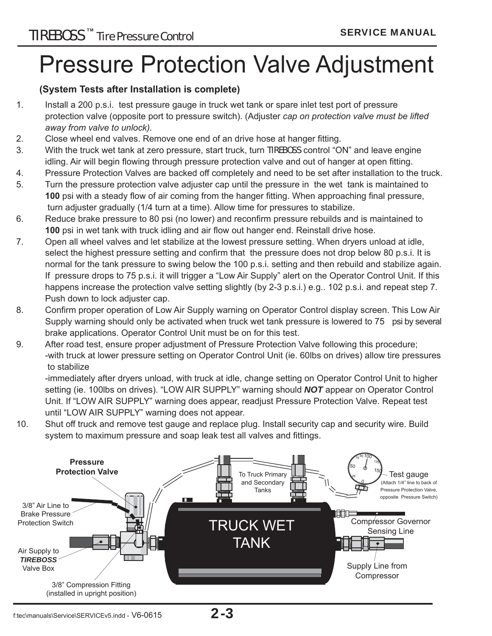## Pressure Protection Valve Adjustment

#### **(System Tests after Installation is complete)**

- 1. Install a 200 p.s.i. test pressure gauge in truck wet tank or spare inlet test port of pressure protection valve (opposite port to pressure switch). (Adjuster *cap on protection valve must be lifted away from valve to unlock).*
- 2. Close wheel end valves. Remove one end of an drive hose at hanger fitting.
- 3. With the truck wet tank at zero pressure, start truck, turn TIREBOSS control "ON" and leave engine idling. Air will begin flowing through pressure protection valve and out of hanger at open fitting.
- 4. Pressure Protection Valves are backed off completely and need to be set after installation to the truck.
- 5. Turn the pressure protection valve adjuster cap until the pressure in the wet tank is maintained to **100** psi with a steady flow of air coming from the hanger fitting. When approaching final pressure, turn adjuster gradually (1/4 turn at a time). Allow time for pressures to stabilize.
- 6. Reduce brake pressure to 80 psi (no lower) and reconfirm pressure rebuilds and is maintained to **100** psi in wet tank with truck idling and air flow out hanger end. Reinstall drive hose.
- 7. Open all wheel valves and let stabilize at the lowest pressure setting. When dryers unload at idle, select the highest pressure setting and confirm that the pressure does not drop below 80 p.s.i. It is normal for the tank pressure to swing below the 100 p.s.i. setting and then rebuild and stabilize again. If pressure drops to 75 p.s.i. it will trigger a "Low Air Supply" alert on the Operator Control Unit. If this happens increase the protection valve setting slightly (by 2-3 p.s.i.) e.g.. 102 p.s.i. and repeat step 7. Push down to lock adjuster cap.
- 8. Confirm proper operation of Low Air Supply warning on Operator Control display screen. This Low Air Supply warning should only be activated when truck wet tank pressure is lowered to 75 psi by several brake applications. Operator Control Unit must be on for this test.
- 9. After road test, ensure proper adjustment of Pressure Protection Valve following this procedure; -with truck at lower pressure setting on Operator Control Unit (ie. 60lbs on drives) allow tire pressures to stabilize

 -immediately after dryers unload, with truck at idle, change setting on Operator Control Unit to higher setting (ie. 100lbs on drives). "LOW AIR SUPPLY" warning should *NOT* appear on Operator Control Unit. If "LOW AIR SUPPLY" warning does appear, readjust Pressure Protection Valve. Repeat test until "LOW AIR SUPPLY" warning does not appear.

10. Shut off truck and remove test gauge and replace plug. Install security cap and security wire. Build system to maximum pressure and soap leak test all valves and fittings.

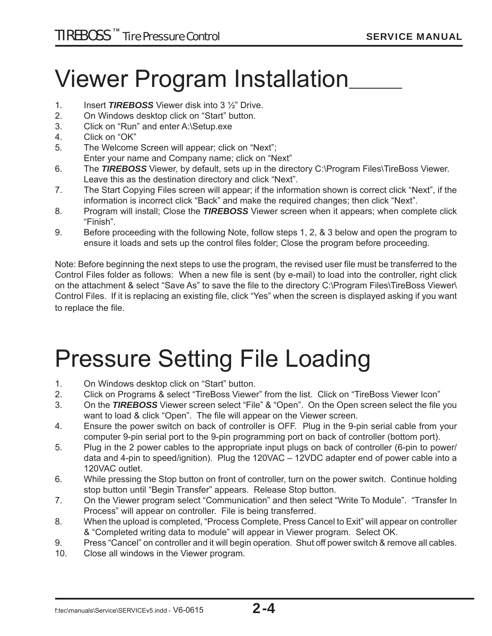## Viewer Program Installation

- 1. Insert *TIREBOSS* Viewer disk into 3 ½" Drive.
- 2. On Windows desktop click on "Start" button.
- 3. Click on "Run" and enter A:\Setup.exe
- 4. Click on "OK"
- 5. The Welcome Screen will appear; click on "Next"; Enter your name and Company name; click on "Next"
- 6. The *TIREBOSS* Viewer, by default, sets up in the directory C:\Program Files\TireBoss Viewer. Leave this as the destination directory and click "Next".
- 7. The Start Copying Files screen will appear; if the information shown is correct click "Next", if the information is incorrect click "Back" and make the required changes; then click "Next".
- 8. Program will install; Close the *TIREBOSS* Viewer screen when it appears; when complete click "Finish".
- 9. Before proceeding with the following Note, follow steps 1, 2, & 3 below and open the program to ensure it loads and sets up the control files folder; Close the program before proceeding.

Note: Before beginning the next steps to use the program, the revised user file must be transferred to the Control Files folder as follows: When a new file is sent (by e-mail) to load into the controller, right click on the attachment & select "Save As" to save the file to the directory C:\Program Files\TireBoss Viewer\ Control Files. If it is replacing an existing file, click "Yes" when the screen is displayed asking if you want to replace the file.

## Pressure Setting File Loading

- 1. On Windows desktop click on "Start" button.
- 2. Click on Programs & select "TireBoss Viewer" from the list. Click on "TireBoss Viewer Icon"
- 3. On the **TIREBOSS** Viewer screen select "File" & "Open". On the Open screen select the file you want to load & click "Open". The file will appear on the Viewer screen.
- 4. Ensure the power switch on back of controller is OFF. Plug in the 9-pin serial cable from your computer 9-pin serial port to the 9-pin programming port on back of controller (bottom port).
- 5. Plug in the 2 power cables to the appropriate input plugs on back of controller (6-pin to power/ data and 4-pin to speed/ignition). Plug the 120VAC – 12VDC adapter end of power cable into a 120VAC outlet.
- 6. While pressing the Stop button on front of controller, turn on the power switch. Continue holding stop button until "Begin Transfer" appears. Release Stop button.
- 7. On the Viewer program select "Communication" and then select "Write To Module". "Transfer In Process" will appear on controller. File is being transferred.
- 8. When the upload is completed, "Process Complete, Press Cancel to Exit" will appear on controller & "Completed writing data to module" will appear in Viewer program. Select OK.
- 9. Press "Cancel" on controller and it will begin operation. Shut off power switch & remove all cables.
- 10. Close all windows in the Viewer program.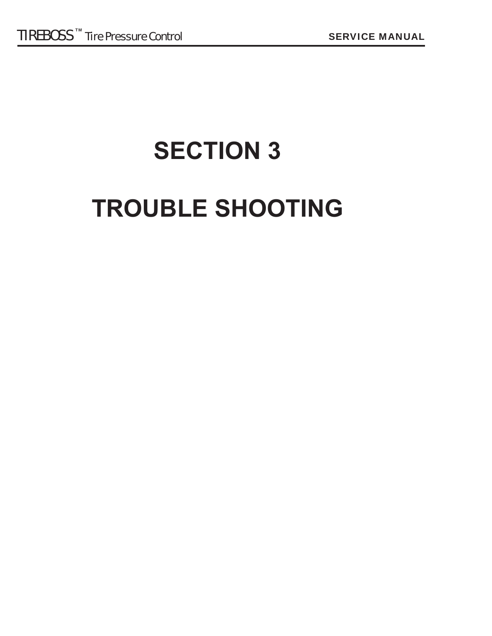# **SECTION 3 TROUBLE SHOOTING**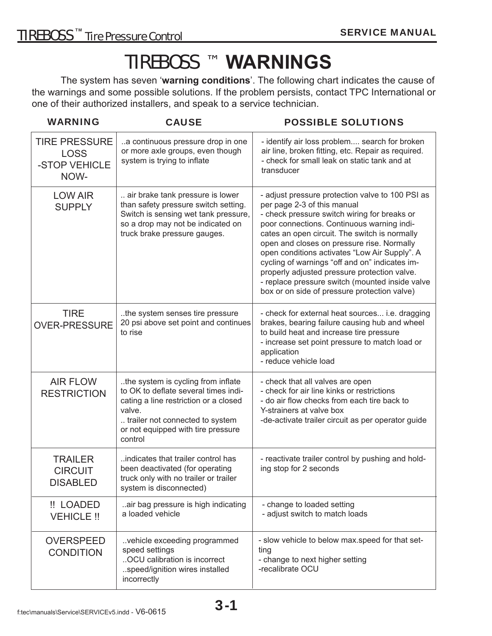## TIREBOSS ™ **WARNINGS**

 The system has seven '**warning conditions**'. The following chart indicates the cause of the warnings and some possible solutions. If the problem persists, contact TPC International or one of their authorized installers, and speak to a service technician.

| <b>WARNING</b>                                               | <b>CAUSE</b>                                                                                                                                                                                                       | <b>POSSIBLE SOLUTIONS</b>                                                                                                                                                                                                                                                                                                                                                                                                                                                                                                          |
|--------------------------------------------------------------|--------------------------------------------------------------------------------------------------------------------------------------------------------------------------------------------------------------------|------------------------------------------------------------------------------------------------------------------------------------------------------------------------------------------------------------------------------------------------------------------------------------------------------------------------------------------------------------------------------------------------------------------------------------------------------------------------------------------------------------------------------------|
| <b>TIRE PRESSURE</b><br><b>LOSS</b><br>-STOP VEHICLE<br>NOW- | a continuous pressure drop in one<br>or more axle groups, even though<br>system is trying to inflate                                                                                                               | - identify air loss problem search for broken<br>air line, broken fitting, etc. Repair as required.<br>- check for small leak on static tank and at<br>transducer                                                                                                                                                                                                                                                                                                                                                                  |
| <b>LOW AIR</b><br><b>SUPPLY</b>                              | air brake tank pressure is lower<br>than safety pressure switch setting.<br>Switch is sensing wet tank pressure,<br>so a drop may not be indicated on<br>truck brake pressure gauges.                              | - adjust pressure protection valve to 100 PSI as<br>per page 2-3 of this manual<br>- check pressure switch wiring for breaks or<br>poor connections. Continuous warning indi-<br>cates an open circuit. The switch is normally<br>open and closes on pressure rise. Normally<br>open conditions activates "Low Air Supply". A<br>cycling of warnings "off and on" indicates im-<br>properly adjusted pressure protection valve.<br>- replace pressure switch (mounted inside valve<br>box or on side of pressure protection valve) |
| <b>TIRE</b><br><b>OVER-PRESSURE</b>                          | the system senses tire pressure<br>20 psi above set point and continues<br>to rise                                                                                                                                 | - check for external heat sources i.e. dragging<br>brakes, bearing failure causing hub and wheel<br>to build heat and increase tire pressure<br>- increase set point pressure to match load or<br>application<br>- reduce vehicle load                                                                                                                                                                                                                                                                                             |
| <b>AIR FLOW</b><br><b>RESTRICTION</b>                        | the system is cycling from inflate.<br>to OK to deflate several times indi-<br>cating a line restriction or a closed<br>valve.<br>trailer not connected to system<br>or not equipped with tire pressure<br>control | - check that all valves are open<br>- check for air line kinks or restrictions<br>- do air flow checks from each tire back to<br>Y-strainers at valve box<br>-de-activate trailer circuit as per operator guide                                                                                                                                                                                                                                                                                                                    |
| <b>TRAILER</b><br><b>CIRCUIT</b><br><b>DISABLED</b>          | indicates that trailer control has<br>been deactivated (for operating<br>truck only with no trailer or trailer<br>system is disconnected)                                                                          | - reactivate trailer control by pushing and hold-<br>ing stop for 2 seconds                                                                                                                                                                                                                                                                                                                                                                                                                                                        |
| !! LOADED<br><b>VEHICLE !!</b>                               | air bag pressure is high indicating<br>a loaded vehicle                                                                                                                                                            | - change to loaded setting<br>- adjust switch to match loads                                                                                                                                                                                                                                                                                                                                                                                                                                                                       |
| <b>OVERSPEED</b><br><b>CONDITION</b>                         | vehicle exceeding programmed<br>speed settings<br>OCU calibration is incorrect<br>speed/ignition wires installed<br>incorrectly                                                                                    | - slow vehicle to below max.speed for that set-<br>ting<br>- change to next higher setting<br>-recalibrate OCU                                                                                                                                                                                                                                                                                                                                                                                                                     |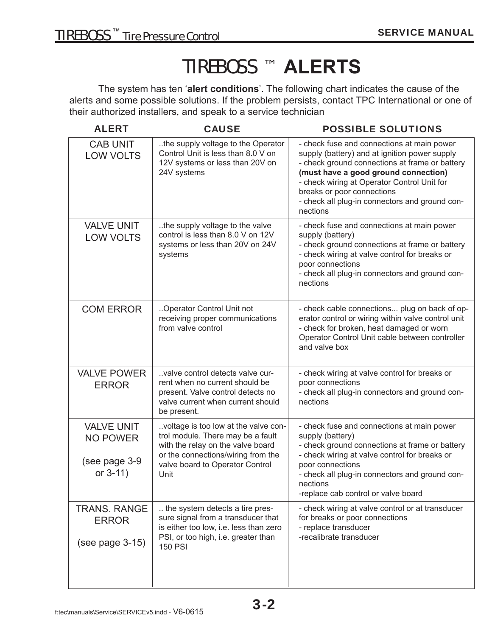## TIREBOSS ™ **ALERTS**

 The system has ten '**alert conditions**'. The following chart indicates the cause of the alerts and some possible solutions. If the problem persists, contact TPC International or one of their authorized installers, and speak to a service technician

| <b>ALERT</b>                                                         | <b>CAUSE</b>                                                                                                                                                                                    | <b>POSSIBLE SOLUTIONS</b>                                                                                                                                                                                                                                                                                                        |
|----------------------------------------------------------------------|-------------------------------------------------------------------------------------------------------------------------------------------------------------------------------------------------|----------------------------------------------------------------------------------------------------------------------------------------------------------------------------------------------------------------------------------------------------------------------------------------------------------------------------------|
| <b>CAB UNIT</b><br><b>LOW VOLTS</b>                                  | the supply voltage to the Operator<br>Control Unit is less than 8.0 V on<br>12V systems or less than 20V on<br>24V systems                                                                      | - check fuse and connections at main power<br>supply (battery) and at ignition power supply<br>- check ground connections at frame or battery<br>(must have a good ground connection)<br>- check wiring at Operator Control Unit for<br>breaks or poor connections<br>- check all plug-in connectors and ground con-<br>nections |
| <b>VALVE UNIT</b><br><b>LOW VOLTS</b>                                | the supply voltage to the valve<br>control is less than 8.0 V on 12V<br>systems or less than 20V on 24V<br>systems                                                                              | - check fuse and connections at main power<br>supply (battery)<br>- check ground connections at frame or battery<br>- check wiring at valve control for breaks or<br>poor connections<br>- check all plug-in connectors and ground con-<br>nections                                                                              |
| <b>COM ERROR</b>                                                     | Operator Control Unit not<br>receiving proper communications<br>from valve control                                                                                                              | - check cable connections plug on back of op-<br>erator control or wiring within valve control unit<br>- check for broken, heat damaged or worn<br>Operator Control Unit cable between controller<br>and valve box                                                                                                               |
| <b>VALVE POWER</b><br><b>ERROR</b>                                   | valve control detects valve cur-<br>rent when no current should be<br>present. Valve control detects no<br>valve current when current should<br>be present.                                     | - check wiring at valve control for breaks or<br>poor connections<br>- check all plug-in connectors and ground con-<br>nections                                                                                                                                                                                                  |
| <b>VALVE UNIT</b><br><b>NO POWER</b><br>(see page 3-9<br>or $3-11$ ) | voltage is too low at the valve con-<br>trol module. There may be a fault<br>with the relay on the valve board<br>or the connections/wiring from the<br>valve board to Operator Control<br>Unit | - check fuse and connections at main power<br>supply (battery)<br>- check ground connections at frame or battery<br>- check wiring at valve control for breaks or<br>poor connections<br>- check all plug-in connectors and ground con-<br>nections<br>-replace cab control or valve board                                       |
| <b>TRANS. RANGE</b><br><b>ERROR</b><br>$(see page 3-15)$             | the system detects a tire pres-<br>sure signal from a transducer that<br>is either too low, i.e. less than zero<br>PSI, or too high, i.e. greater than<br><b>150 PSI</b>                        | - check wiring at valve control or at transducer<br>for breaks or poor connections<br>- replace transducer<br>-recalibrate transducer                                                                                                                                                                                            |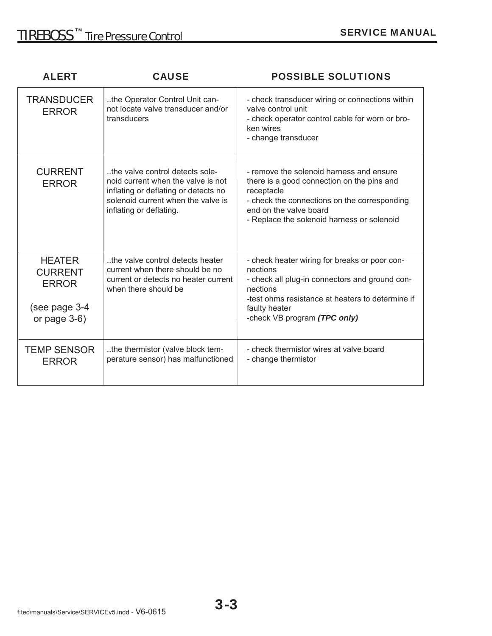| <b>ALERT</b>                                                                        | <b>CAUSE</b>                                                                                                                                                                   | <b>POSSIBLE SOLUTIONS</b>                                                                                                                                                                                                    |
|-------------------------------------------------------------------------------------|--------------------------------------------------------------------------------------------------------------------------------------------------------------------------------|------------------------------------------------------------------------------------------------------------------------------------------------------------------------------------------------------------------------------|
| <b>TRANSDUCER</b><br><b>ERROR</b>                                                   | the Operator Control Unit can-<br>not locate valve transducer and/or<br>transducers                                                                                            | - check transducer wiring or connections within<br>valve control unit<br>- check operator control cable for worn or bro-<br>ken wires<br>- change transducer                                                                 |
| <b>CURRENT</b><br><b>ERROR</b>                                                      | the valve control detects sole-<br>noid current when the valve is not<br>inflating or deflating or detects no<br>solenoid current when the valve is<br>inflating or deflating. | - remove the solenoid harness and ensure<br>there is a good connection on the pins and<br>receptacle<br>- check the connections on the corresponding<br>end on the valve board<br>- Replace the solenoid harness or solenoid |
| <b>HEATER</b><br><b>CURRENT</b><br><b>ERROR</b><br>(see page 3-4<br>or page $3-6$ ) | the valve control detects heater<br>current when there should be no<br>current or detects no heater current<br>when there should be                                            | - check heater wiring for breaks or poor con-<br>nections<br>- check all plug-in connectors and ground con-<br>nections<br>-test ohms resistance at heaters to determine if<br>faulty heater<br>-check VB program (TPC only) |
| <b>TEMP SENSOR</b><br><b>ERROR</b>                                                  | the thermistor (valve block tem-<br>perature sensor) has malfunctioned                                                                                                         | - check thermistor wires at valve board<br>- change thermistor                                                                                                                                                               |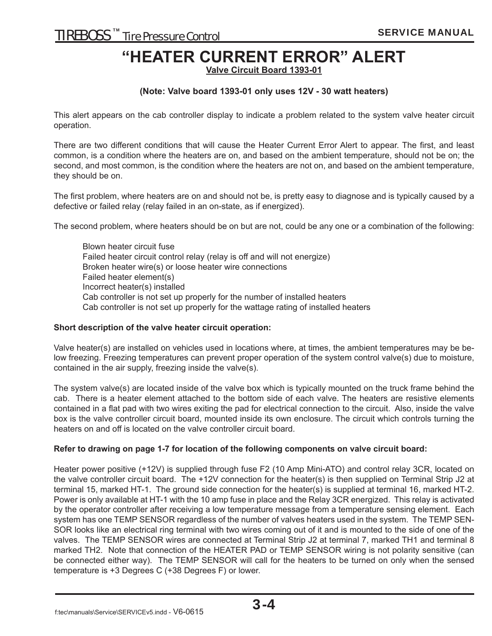### **"HEATER CURRENT ERROR" ALERT**

**Valve Circuit Board 1393-01**

#### **(Note: Valve board 1393-01 only uses 12V - 30 watt heaters)**

This alert appears on the cab controller display to indicate a problem related to the system valve heater circuit operation.

There are two different conditions that will cause the Heater Current Error Alert to appear. The first, and least common, is a condition where the heaters are on, and based on the ambient temperature, should not be on; the second, and most common, is the condition where the heaters are not on, and based on the ambient temperature, they should be on.

The first problem, where heaters are on and should not be, is pretty easy to diagnose and is typically caused by a defective or failed relay (relay failed in an on-state, as if energized).

The second problem, where heaters should be on but are not, could be any one or a combination of the following:

Blown heater circuit fuse Failed heater circuit control relay (relay is off and will not energize) Broken heater wire(s) or loose heater wire connections Failed heater element(s) Incorrect heater(s) installed Cab controller is not set up properly for the number of installed heaters Cab controller is not set up properly for the wattage rating of installed heaters

#### **Short description of the valve heater circuit operation:**

Valve heater(s) are installed on vehicles used in locations where, at times, the ambient temperatures may be below freezing. Freezing temperatures can prevent proper operation of the system control valve(s) due to moisture, contained in the air supply, freezing inside the valve(s).

The system valve(s) are located inside of the valve box which is typically mounted on the truck frame behind the cab. There is a heater element attached to the bottom side of each valve. The heaters are resistive elements contained in a flat pad with two wires exiting the pad for electrical connection to the circuit. Also, inside the valve box is the valve controller circuit board, mounted inside its own enclosure. The circuit which controls turning the heaters on and off is located on the valve controller circuit board.

#### **Refer to drawing on page 1-7 for location of the following components on valve circuit board:**

Heater power positive (+12V) is supplied through fuse F2 (10 Amp Mini-ATO) and control relay 3CR, located on the valve controller circuit board. The +12V connection for the heater(s) is then supplied on Terminal Strip J2 at terminal 15, marked HT-1. The ground side connection for the heater(s) is supplied at terminal 16, marked HT-2. Power is only available at HT-1 with the 10 amp fuse in place and the Relay 3CR energized. This relay is activated by the operator controller after receiving a low temperature message from a temperature sensing element. Each system has one TEMP SENSOR regardless of the number of valves heaters used in the system. The TEMP SEN-SOR looks like an electrical ring terminal with two wires coming out of it and is mounted to the side of one of the valves. The TEMP SENSOR wires are connected at Terminal Strip J2 at terminal 7, marked TH1 and terminal 8 marked TH2. Note that connection of the HEATER PAD or TEMP SENSOR wiring is not polarity sensitive (can be connected either way). The TEMP SENSOR will call for the heaters to be turned on only when the sensed temperature is +3 Degrees C (+38 Degrees F) or lower.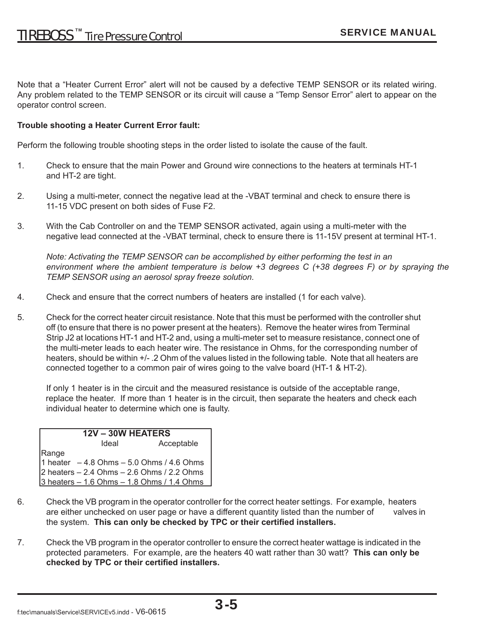Note that a "Heater Current Error" alert will not be caused by a defective TEMP SENSOR or its related wiring. Any problem related to the TEMP SENSOR or its circuit will cause a "Temp Sensor Error" alert to appear on the operator control screen.

#### **Trouble shooting a Heater Current Error fault:**

Perform the following trouble shooting steps in the order listed to isolate the cause of the fault.

- 1. Check to ensure that the main Power and Ground wire connections to the heaters at terminals HT-1 and HT-2 are tight.
- 2. Using a multi-meter, connect the negative lead at the -VBAT terminal and check to ensure there is 11-15 VDC present on both sides of Fuse F2.
- 3. With the Cab Controller on and the TEMP SENSOR activated, again using a multi-meter with the negative lead connected at the -VBAT terminal, check to ensure there is 11-15V present at terminal HT-1.

*Note: Activating the TEMP SENSOR can be accomplished by either performing the test in an environment where the ambient temperature is below +3 degrees C (+38 degrees F) or by spraying the TEMP SENSOR using an aerosol spray freeze solution.*

- 4. Check and ensure that the correct numbers of heaters are installed (1 for each valve).
- 5. Check for the correct heater circuit resistance. Note that this must be performed with the controller shut off (to ensure that there is no power present at the heaters). Remove the heater wires from Terminal Strip J2 at locations HT-1 and HT-2 and, using a multi-meter set to measure resistance, connect one of the multi-meter leads to each heater wire. The resistance in Ohms, for the corresponding number of heaters, should be within +/- .2 Ohm of the values listed in the following table. Note that all heaters are connected together to a common pair of wires going to the valve board (HT-1 & HT-2).

 If only 1 heater is in the circuit and the measured resistance is outside of the acceptable range, replace the heater. If more than 1 heater is in the circuit, then separate the heaters and check each individual heater to determine which one is faulty.

| 12V - 30W HEATERS                                                                                                                             |            |  |
|-----------------------------------------------------------------------------------------------------------------------------------------------|------------|--|
| Ideal                                                                                                                                         | Acceptable |  |
| Range<br>1 heater -4.8 Ohms - 5.0 Ohms / 4.6 Ohms<br>2 heaters - 2.4 Ohms - 2.6 Ohms / 2.2 Ohms<br>3 heaters - 1.6 Ohms - 1.8 Ohms / 1.4 Ohms |            |  |
|                                                                                                                                               |            |  |
|                                                                                                                                               |            |  |
|                                                                                                                                               |            |  |

- 6. Check the VB program in the operator controller for the correct heater settings. For example, heaters are either unchecked on user page or have a different quantity listed than the number of valves in the system. This can only be checked by TPC or their certified installers.
- 7. Check the VB program in the operator controller to ensure the correct heater wattage is indicated in the protected parameters. For example, are the heaters 40 watt rather than 30 watt? **This can only be**  checked by TPC or their certified installers.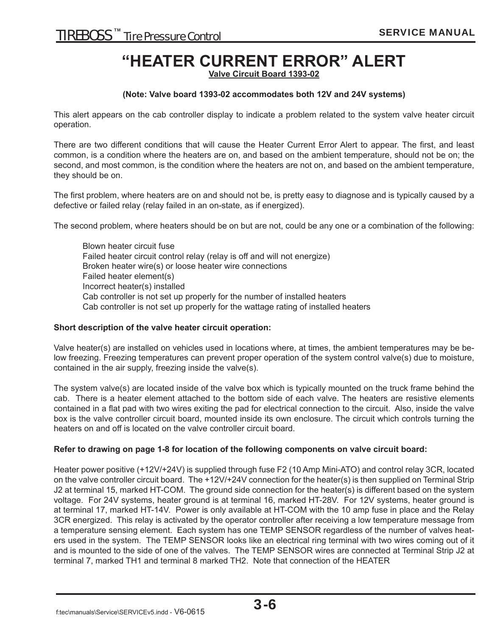### **"HEATER CURRENT ERROR" ALERT**

**Valve Circuit Board 1393-02**

#### **(Note: Valve board 1393-02 accommodates both 12V and 24V systems)**

This alert appears on the cab controller display to indicate a problem related to the system valve heater circuit operation.

There are two different conditions that will cause the Heater Current Error Alert to appear. The first, and least common, is a condition where the heaters are on, and based on the ambient temperature, should not be on; the second, and most common, is the condition where the heaters are not on, and based on the ambient temperature, they should be on.

The first problem, where heaters are on and should not be, is pretty easy to diagnose and is typically caused by a defective or failed relay (relay failed in an on-state, as if energized).

The second problem, where heaters should be on but are not, could be any one or a combination of the following:

 Blown heater circuit fuse Failed heater circuit control relay (relay is off and will not energize) Broken heater wire(s) or loose heater wire connections Failed heater element(s) Incorrect heater(s) installed Cab controller is not set up properly for the number of installed heaters Cab controller is not set up properly for the wattage rating of installed heaters

#### **Short description of the valve heater circuit operation:**

Valve heater(s) are installed on vehicles used in locations where, at times, the ambient temperatures may be below freezing. Freezing temperatures can prevent proper operation of the system control valve(s) due to moisture, contained in the air supply, freezing inside the valve(s).

The system valve(s) are located inside of the valve box which is typically mounted on the truck frame behind the cab. There is a heater element attached to the bottom side of each valve. The heaters are resistive elements contained in a flat pad with two wires exiting the pad for electrical connection to the circuit. Also, inside the valve box is the valve controller circuit board, mounted inside its own enclosure. The circuit which controls turning the heaters on and off is located on the valve controller circuit board.

#### **Refer to drawing on page 1-8 for location of the following components on valve circuit board:**

Heater power positive (+12V/+24V) is supplied through fuse F2 (10 Amp Mini-ATO) and control relay 3CR, located on the valve controller circuit board. The +12V/+24V connection for the heater(s) is then supplied on Terminal Strip J2 at terminal 15, marked HT-COM. The ground side connection for the heater(s) is different based on the system voltage. For 24V systems, heater ground is at terminal 16, marked HT-28V. For 12V systems, heater ground is at terminal 17, marked HT-14V. Power is only available at HT-COM with the 10 amp fuse in place and the Relay 3CR energized. This relay is activated by the operator controller after receiving a low temperature message from a temperature sensing element. Each system has one TEMP SENSOR regardless of the number of valves heaters used in the system. The TEMP SENSOR looks like an electrical ring terminal with two wires coming out of it and is mounted to the side of one of the valves. The TEMP SENSOR wires are connected at Terminal Strip J2 at terminal 7, marked TH1 and terminal 8 marked TH2. Note that connection of the HEATER

f:tec\manuals\Service\SERVICEv5.indd - V6-0615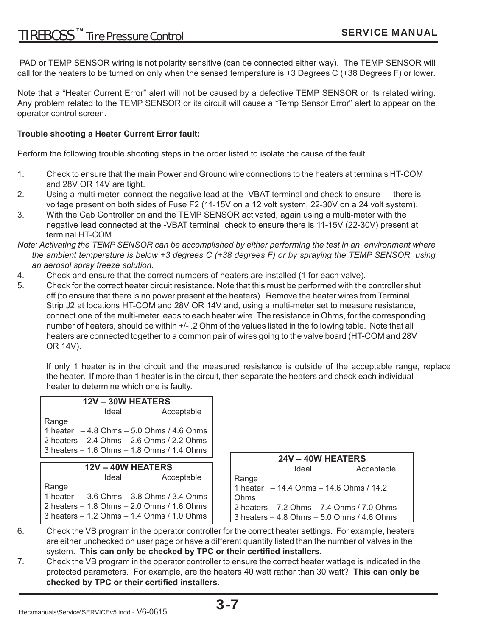PAD or TEMP SENSOR wiring is not polarity sensitive (can be connected either way). The TEMP SENSOR will call for the heaters to be turned on only when the sensed temperature is +3 Degrees C (+38 Degrees F) or lower.

Note that a "Heater Current Error" alert will not be caused by a defective TEMP SENSOR or its related wiring. Any problem related to the TEMP SENSOR or its circuit will cause a "Temp Sensor Error" alert to appear on the operator control screen.

#### **Trouble shooting a Heater Current Error fault:**

Perform the following trouble shooting steps in the order listed to isolate the cause of the fault.

- 1. Check to ensure that the main Power and Ground wire connections to the heaters at terminals HT-COM and 28V OR 14V are tight.
- 2. Using a multi-meter, connect the negative lead at the -VBAT terminal and check to ensure there is voltage present on both sides of Fuse F2 (11-15V on a 12 volt system, 22-30V on a 24 volt system).
- 3. With the Cab Controller on and the TEMP SENSOR activated, again using a multi-meter with the negative lead connected at the -VBAT terminal, check to ensure there is 11-15V (22-30V) present at terminal HT-COM.
- *Note: Activating the TEMP SENSOR can be accomplished by either performing the test in an environment where the ambient temperature is below +3 degrees C (+38 degrees F) or by spraying the TEMP SENSOR using an aerosol spray freeze solution.*
- 4. Check and ensure that the correct numbers of heaters are installed (1 for each valve).
- 5. Check for the correct heater circuit resistance. Note that this must be performed with the controller shut off (to ensure that there is no power present at the heaters). Remove the heater wires from Terminal Strip J2 at locations HT-COM and 28V OR 14V and, using a multi-meter set to measure resistance, connect one of the multi-meter leads to each heater wire. The resistance in Ohms, for the corresponding number of heaters, should be within +/- .2 Ohm of the values listed in the following table. Note that all heaters are connected together to a common pair of wires going to the valve board (HT-COM and 28V OR 14V).

 If only 1 heater is in the circuit and the measured resistance is outside of the acceptable range, replace the heater. If more than 1 heater is in the circuit, then separate the heaters and check each individual heater to determine which one is faulty.

| $12V - 30W$ HEATERS                           |            |                                            |            |
|-----------------------------------------------|------------|--------------------------------------------|------------|
| Ideal                                         | Acceptable |                                            |            |
| Range                                         |            |                                            |            |
| 1 heater $-4.8$ Ohms $-5.0$ Ohms $/4.6$ Ohms  |            |                                            |            |
| 2 heaters $-2.4$ Ohms $-2.6$ Ohms $/2.2$ Ohms |            |                                            |            |
| 3 heaters – 1.6 Ohms – 1.8 Ohms / 1.4 Ohms    |            |                                            |            |
|                                               |            | $24V - 40W$ HEATERS                        |            |
| 12V - 40W HEATERS                             |            | Ideal                                      | Acceptable |
| Ideal                                         | Acceptable | Range                                      |            |
| Range                                         |            | 1 heater $-14.4$ Ohms $-14.6$ Ohms / 14.2  |            |
| 1 heater $-3.6$ Ohms $-3.8$ Ohms $/3.4$ Ohms  |            | Ohms                                       |            |
| 2 heaters $-1.8$ Ohms $-2.0$ Ohms $/1.6$ Ohms |            | 2 heaters – 7.2 Ohms – 7.4 Ohms / 7.0 Ohms |            |
|                                               |            |                                            |            |

- 6. Check the VB program in the operator controller for the correct heater settings. For example, heaters are either unchecked on user page or have a different quantity listed than the number of valves in the system. This can only be checked by TPC or their certified installers.
- 7. Check the VB program in the operator controller to ensure the correct heater wattage is indicated in the protected parameters. For example, are the heaters 40 watt rather than 30 watt? **This can only be**  checked by TPC or their certified installers.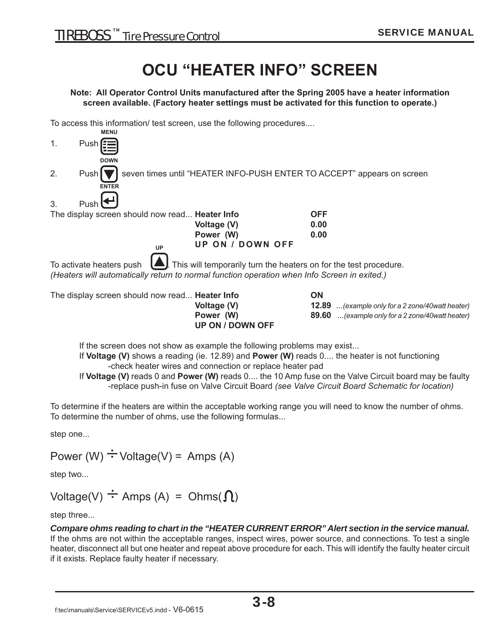### **OCU "HEATER INFO" SCREEN**

**Note: All Operator Control Units manufactured after the Spring 2005 have a heater information screen available. (Factory heater settings must be activated for this function to operate.)**

To access this information/ test screen, use the following procedures....



 **Power (W) 89.60** *...(example only for a 2 zone/40watt heater)*

If the screen does not show as example the following problems may exist...

 **UP ON / DOWN OFF**

 If **Voltage (V)** shows a reading (ie. 12.89) and **Power (W)** reads 0.... the heater is not functioning -check heater wires and connection or replace heater pad

 If **Voltage (V)** reads 0 and **Power (W)** reads 0.... the 10 Amp fuse on the Valve Circuit board may be faulty -replace push-in fuse on Valve Circuit Board *(see Valve Circuit Board Schematic for location)*

To determine if the heaters are within the acceptable working range you will need to know the number of ohms. To determine the number of ohms, use the following formulas...

step one...

Power (W)  $\div$  Voltage(V) = Amps (A)

step two...

Voltage(V)  $\div$  Amps (A) = Ohms( $\Omega$ )

step three...

*Compare ohms reading to chart in the "HEATER CURRENT ERROR" Alert section in the service manual.* If the ohms are not within the acceptable ranges, inspect wires, power source, and connections. To test a single heater, disconnect all but one heater and repeat above procedure for each. This will identify the faulty heater circuit if it exists. Replace faulty heater if necessary.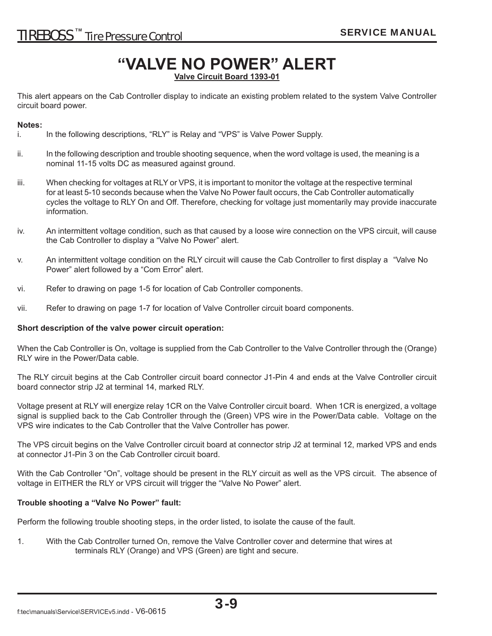## **"VALVE NO POWER" ALERT**

**Valve Circuit Board 1393-01**

This alert appears on the Cab Controller display to indicate an existing problem related to the system Valve Controller circuit board power.

#### **Notes:**

- i. In the following descriptions, "RLY" is Relay and "VPS" is Valve Power Supply.
- ii. In the following description and trouble shooting sequence, when the word voltage is used, the meaning is a nominal 11-15 volts DC as measured against ground.
- iii. When checking for voltages at RLY or VPS, it is important to monitor the voltage at the respective terminal for at least 5-10 seconds because when the Valve No Power fault occurs, the Cab Controller automatically cycles the voltage to RLY On and Off. Therefore, checking for voltage just momentarily may provide inaccurate information.
- iv. An intermittent voltage condition, such as that caused by a loose wire connection on the VPS circuit, will cause the Cab Controller to display a "Valve No Power" alert.
- v. An intermittent voltage condition on the RLY circuit will cause the Cab Controller to first display a "Valve No Power" alert followed by a "Com Error" alert.
- vi. Refer to drawing on page 1-5 for location of Cab Controller components.
- vii. Refer to drawing on page 1-7 for location of Valve Controller circuit board components.

#### **Short description of the valve power circuit operation:**

When the Cab Controller is On, voltage is supplied from the Cab Controller to the Valve Controller through the (Orange) RLY wire in the Power/Data cable.

The RLY circuit begins at the Cab Controller circuit board connector J1-Pin 4 and ends at the Valve Controller circuit board connector strip J2 at terminal 14, marked RLY.

Voltage present at RLY will energize relay 1CR on the Valve Controller circuit board. When 1CR is energized, a voltage signal is supplied back to the Cab Controller through the (Green) VPS wire in the Power/Data cable. Voltage on the VPS wire indicates to the Cab Controller that the Valve Controller has power.

The VPS circuit begins on the Valve Controller circuit board at connector strip J2 at terminal 12, marked VPS and ends at connector J1-Pin 3 on the Cab Controller circuit board.

With the Cab Controller "On", voltage should be present in the RLY circuit as well as the VPS circuit. The absence of voltage in EITHER the RLY or VPS circuit will trigger the "Valve No Power" alert.

#### **Trouble shooting a "Valve No Power" fault:**

Perform the following trouble shooting steps, in the order listed, to isolate the cause of the fault.

1. With the Cab Controller turned On, remove the Valve Controller cover and determine that wires at terminals RLY (Orange) and VPS (Green) are tight and secure.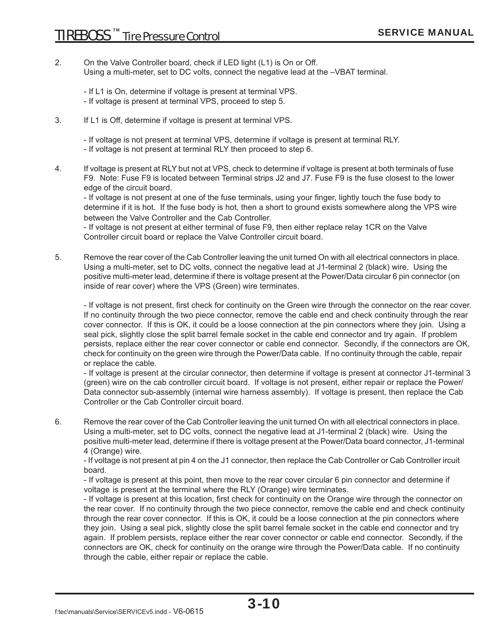- 2. On the Valve Controller board, check if LED light (L1) is On or Off. Using a multi-meter, set to DC volts, connect the negative lead at the –VBAT terminal.
	- If L1 is On, determine if voltage is present at terminal VPS.
	- If voltage is present at terminal VPS, proceed to step 5.
- 3. If L1 is Off, determine if voltage is present at terminal VPS.
	- If voltage is not present at terminal VPS, determine if voltage is present at terminal RLY.
	- If voltage is not present at terminal RLY then proceed to step 6.
- 4. If voltage is present at RLY but not at VPS, check to determine if voltage is present at both terminals of fuse F9. Note: Fuse F9 is located between Terminal strips J2 and J7. Fuse F9 is the fuse closest to the lower edge of the circuit board.

- If voltage is not present at one of the fuse terminals, using your finger, lightly touch the fuse body to determine if it is hot. If the fuse body is hot, then a short to ground exists somewhere along the VPS wire between the Valve Controller and the Cab Controller.

 - If voltage is not present at either terminal of fuse F9, then either replace relay 1CR on the Valve Controller circuit board or replace the Valve Controller circuit board.

5. Remove the rear cover of the Cab Controller leaving the unit turned On with all electrical connectors in place. Using a multi-meter, set to DC volts, connect the negative lead at J1-terminal 2 (black) wire. Using the positive multi-meter lead, determine if there is voltage present at the Power/Data circular 6 pin connector (on inside of rear cover) where the VPS (Green) wire terminates.

- If voltage is not present, first check for continuity on the Green wire through the connector on the rear cover. If no continuity through the two piece connector, remove the cable end and check continuity through the rear cover connector. If this is OK, it could be a loose connection at the pin connectors where they join. Using a seal pick, slightly close the split barrel female socket in the cable end connector and try again. If problem persists, replace either the rear cover connector or cable end connector. Secondly, if the connectors are OK, check for continuity on the green wire through the Power/Data cable. If no continuity through the cable, repair or replace the cable.

 - If voltage is present at the circular connector, then determine if voltage is present at connector J1-terminal 3 (green) wire on the cab controller circuit board. If voltage is not present, either repair or replace the Power/ Data connector sub-assembly (internal wire harness assembly). If voltage is present, then replace the Cab Controller or the Cab Controller circuit board.

6. Remove the rear cover of the Cab Controller leaving the unit turned On with all electrical connectors in place. Using a multi-meter, set to DC volts, connect the negative lead at J1-terminal 2 (black) wire. Using the positive multi-meter lead, determine if there is voltage present at the Power/Data board connector, J1-terminal 4 (Orange) wire.

 - If voltage is not present at pin 4 on the J1 connector, then replace the Cab Controller or Cab Controller ircuit board.

 - If voltage is present at this point, then move to the rear cover circular 6 pin connector and determine if voltage is present at the terminal where the RLY (Orange) wire terminates.

- If voltage is present at this location, first check for continuity on the Orange wire through the connector on the rear cover. If no continuity through the two piece connector, remove the cable end and check continuity through the rear cover connector. If this is OK, it could be a loose connection at the pin connectors where they join. Using a seal pick, slightly close the split barrel female socket in the cable end connector and try again. If problem persists, replace either the rear cover connector or cable end connector. Secondly, if the connectors are OK, check for continuity on the orange wire through the Power/Data cable. If no continuity through the cable, either repair or replace the cable.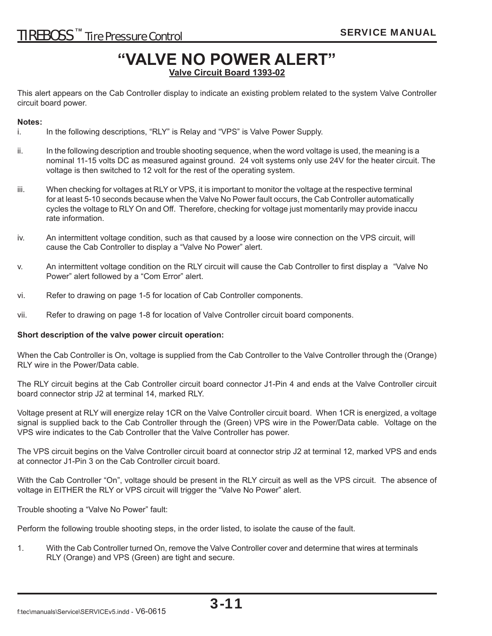### **TIREBOSS**™ Tire Pressure Control **TIREBOSS** ™ Tire Pressure Control

### **"VALVE NO POWER ALERT"**

**Valve Circuit Board 1393-02**

This alert appears on the Cab Controller display to indicate an existing problem related to the system Valve Controller circuit board power.

#### **Notes:**

- i. In the following descriptions, "RLY" is Relay and "VPS" is Valve Power Supply.
- ii. In the following description and trouble shooting sequence, when the word voltage is used, the meaning is a nominal 11-15 volts DC as measured against ground. 24 volt systems only use 24V for the heater circuit. The voltage is then switched to 12 volt for the rest of the operating system.
- iii. When checking for voltages at RLY or VPS, it is important to monitor the voltage at the respective terminal for at least 5-10 seconds because when the Valve No Power fault occurs, the Cab Controller automatically cycles the voltage to RLY On and Off. Therefore, checking for voltage just momentarily may provide inaccu rate information.
- iv. An intermittent voltage condition, such as that caused by a loose wire connection on the VPS circuit, will cause the Cab Controller to display a "Valve No Power" alert.
- v. An intermittent voltage condition on the RLY circuit will cause the Cab Controller to first display a "Valve No Power" alert followed by a "Com Error" alert.
- vi. Refer to drawing on page 1-5 for location of Cab Controller components.
- vii. Refer to drawing on page 1-8 for location of Valve Controller circuit board components.

#### **Short description of the valve power circuit operation:**

When the Cab Controller is On, voltage is supplied from the Cab Controller to the Valve Controller through the (Orange) RLY wire in the Power/Data cable.

The RLY circuit begins at the Cab Controller circuit board connector J1-Pin 4 and ends at the Valve Controller circuit board connector strip J2 at terminal 14, marked RLY.

Voltage present at RLY will energize relay 1CR on the Valve Controller circuit board. When 1CR is energized, a voltage signal is supplied back to the Cab Controller through the (Green) VPS wire in the Power/Data cable. Voltage on the VPS wire indicates to the Cab Controller that the Valve Controller has power.

The VPS circuit begins on the Valve Controller circuit board at connector strip J2 at terminal 12, marked VPS and ends at connector J1-Pin 3 on the Cab Controller circuit board.

With the Cab Controller "On", voltage should be present in the RLY circuit as well as the VPS circuit. The absence of voltage in EITHER the RLY or VPS circuit will trigger the "Valve No Power" alert.

Trouble shooting a "Valve No Power" fault:

Perform the following trouble shooting steps, in the order listed, to isolate the cause of the fault.

1. With the Cab Controller turned On, remove the Valve Controller cover and determine that wires at terminals RLY (Orange) and VPS (Green) are tight and secure.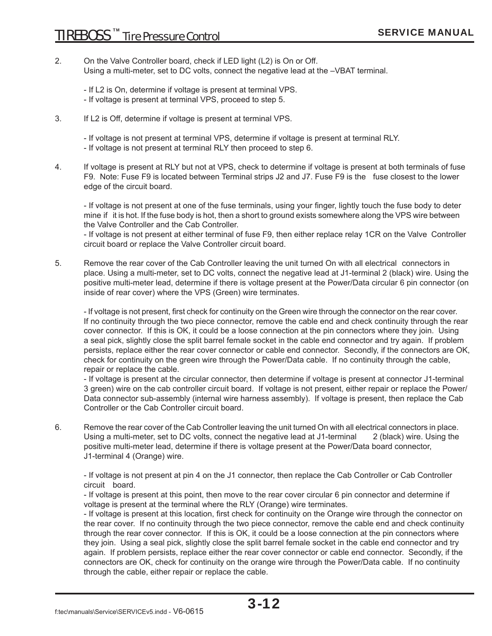2. On the Valve Controller board, check if LED light (L2) is On or Off. Using a multi-meter, set to DC volts, connect the negative lead at the –VBAT terminal.

 - If L2 is On, determine if voltage is present at terminal VPS. - If voltage is present at terminal VPS, proceed to step 5.

3. If L2 is Off, determine if voltage is present at terminal VPS.

- If voltage is not present at terminal VPS, determine if voltage is present at terminal RLY.

- If voltage is not present at terminal RLY then proceed to step 6.
- 4. If voltage is present at RLY but not at VPS, check to determine if voltage is present at both terminals of fuse F9. Note: Fuse F9 is located between Terminal strips J2 and J7. Fuse F9 is the fuse closest to the lower edge of the circuit board.

- If voltage is not present at one of the fuse terminals, using your finger, lightly touch the fuse body to deter mine if it is hot. If the fuse body is hot, then a short to ground exists somewhere along the VPS wire between the Valve Controller and the Cab Controller.

 - If voltage is not present at either terminal of fuse F9, then either replace relay 1CR on the Valve Controller circuit board or replace the Valve Controller circuit board.

5. Remove the rear cover of the Cab Controller leaving the unit turned On with all electrical connectors in place. Using a multi-meter, set to DC volts, connect the negative lead at J1-terminal 2 (black) wire. Using the positive multi-meter lead, determine if there is voltage present at the Power/Data circular 6 pin connector (on inside of rear cover) where the VPS (Green) wire terminates.

- If voltage is not present, first check for continuity on the Green wire through the connector on the rear cover. If no continuity through the two piece connector, remove the cable end and check continuity through the rear cover connector. If this is OK, it could be a loose connection at the pin connectors where they join. Using a seal pick, slightly close the split barrel female socket in the cable end connector and try again. If problem persists, replace either the rear cover connector or cable end connector. Secondly, if the connectors are OK, check for continuity on the green wire through the Power/Data cable. If no continuity through the cable, repair or replace the cable.

 - If voltage is present at the circular connector, then determine if voltage is present at connector J1-terminal 3 green) wire on the cab controller circuit board. If voltage is not present, either repair or replace the Power/ Data connector sub-assembly (internal wire harness assembly). If voltage is present, then replace the Cab Controller or the Cab Controller circuit board.

6. Remove the rear cover of the Cab Controller leaving the unit turned On with all electrical connectors in place. Using a multi-meter, set to DC volts, connect the negative lead at J1-terminal 2 (black) wire. Using the positive multi-meter lead, determine if there is voltage present at the Power/Data board connector, J1-terminal 4 (Orange) wire.

 - If voltage is not present at pin 4 on the J1 connector, then replace the Cab Controller or Cab Controller circuit board.

 - If voltage is present at this point, then move to the rear cover circular 6 pin connector and determine if voltage is present at the terminal where the RLY (Orange) wire terminates.

- If voltage is present at this location, first check for continuity on the Orange wire through the connector on the rear cover. If no continuity through the two piece connector, remove the cable end and check continuity through the rear cover connector. If this is OK, it could be a loose connection at the pin connectors where they join. Using a seal pick, slightly close the split barrel female socket in the cable end connector and try again. If problem persists, replace either the rear cover connector or cable end connector. Secondly, if the connectors are OK, check for continuity on the orange wire through the Power/Data cable. If no continuity through the cable, either repair or replace the cable.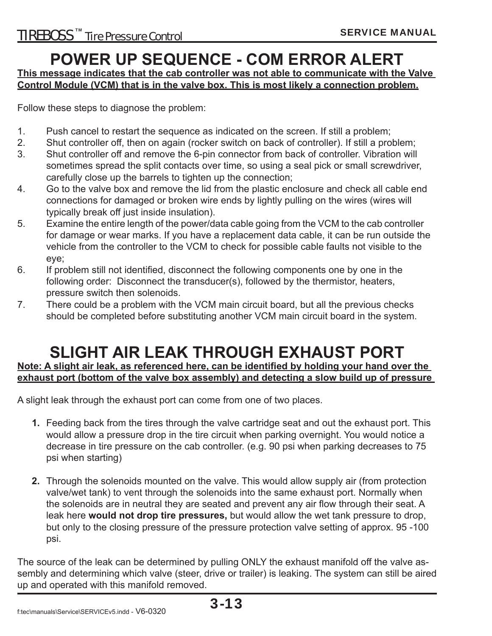### **POWER UP SEQUENCE - COM ERROR ALERT**

**This message indicates that the cab controller was not able to communicate with the Valve Control Module (VCM) that is in the valve box. This is most likely a connection problem.**

Follow these steps to diagnose the problem:

- 1. Push cancel to restart the sequence as indicated on the screen. If still a problem;
- 2. Shut controller off, then on again (rocker switch on back of controller). If still a problem;
- 3. Shut controller off and remove the 6-pin connector from back of controller. Vibration will sometimes spread the split contacts over time, so using a seal pick or small screwdriver, carefully close up the barrels to tighten up the connection;
- 4. Go to the valve box and remove the lid from the plastic enclosure and check all cable end connections for damaged or broken wire ends by lightly pulling on the wires (wires will typically break off just inside insulation).
- 5. Examine the entire length of the power/data cable going from the VCM to the cab controller for damage or wear marks. If you have a replacement data cable, it can be run outside the vehicle from the controller to the VCM to check for possible cable faults not visible to the eye;
- 6. If problem still not identified, disconnect the following components one by one in the following order: Disconnect the transducer(s), followed by the thermistor, heaters, pressure switch then solenoids.
- 7. There could be a problem with the VCM main circuit board, but all the previous checks should be completed before substituting another VCM main circuit board in the system.

### **SLIGHT AIR LEAK THROUGH EXHAUST PORT**

Note: A slight air leak, as referenced here, can be identified by holding your hand over the **exhaust port (bottom of the valve box assembly) and detecting a slow build up of pressure** 

A slight leak through the exhaust port can come from one of two places.

- **1.** Feeding back from the tires through the valve cartridge seat and out the exhaust port. This would allow a pressure drop in the tire circuit when parking overnight. You would notice a decrease in tire pressure on the cab controller. (e.g. 90 psi when parking decreases to 75 psi when starting)
- **2.** Through the solenoids mounted on the valve. This would allow supply air (from protection valve/wet tank) to vent through the solenoids into the same exhaust port. Normally when the solenoids are in neutral they are seated and prevent any air flow through their seat. A leak here **would not drop tire pressures,** but would allow the wet tank pressure to drop, but only to the closing pressure of the pressure protection valve setting of approx. 95 -100 psi.

The source of the leak can be determined by pulling ONLY the exhaust manifold off the valve assembly and determining which valve (steer, drive or trailer) is leaking. The system can still be aired up and operated with this manifold removed.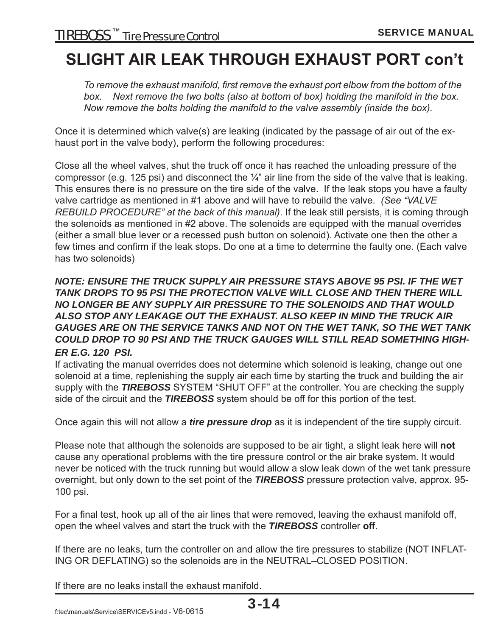### **SLIGHT AIR LEAK THROUGH EXHAUST PORT con't**

To remove the exhaust manifold, first remove the exhaust port elbow from the bottom of the  *box. Next remove the two bolts (also at bottom of box) holding the manifold in the box. Now remove the bolts holding the manifold to the valve assembly (inside the box).*

Once it is determined which valve(s) are leaking (indicated by the passage of air out of the exhaust port in the valve body), perform the following procedures:

Close all the wheel valves, shut the truck off once it has reached the unloading pressure of the compressor (e.g. 125 psi) and disconnect the  $\frac{1}{4}$ " air line from the side of the valve that is leaking. This ensures there is no pressure on the tire side of the valve. If the leak stops you have a faulty valve cartridge as mentioned in #1 above and will have to rebuild the valve. *(See "VALVE REBUILD PROCEDURE" at the back of this manual)*. If the leak still persists, it is coming through the solenoids as mentioned in #2 above. The solenoids are equipped with the manual overrides (either a small blue lever or a recessed push button on solenoid). Activate one then the other a few times and confirm if the leak stops. Do one at a time to determine the faulty one. (Each valve has two solenoids)

#### *NOTE: ENSURE THE TRUCK SUPPLY AIR PRESSURE STAYS ABOVE 95 PSI. IF THE WET TANK DROPS TO 95 PSI THE PROTECTION VALVE WILL CLOSE AND THEN THERE WILL NO LONGER BE ANY SUPPLY AIR PRESSURE TO THE SOLENOIDS AND THAT WOULD ALSO STOP ANY LEAKAGE OUT THE EXHAUST. ALSO KEEP IN MIND THE TRUCK AIR GAUGES ARE ON THE SERVICE TANKS AND NOT ON THE WET TANK, SO THE WET TANK COULD DROP TO 90 PSI AND THE TRUCK GAUGES WILL STILL READ SOMETHING HIGH-ER E.G. 120 PSI.*

If activating the manual overrides does not determine which solenoid is leaking, change out one solenoid at a time, replenishing the supply air each time by starting the truck and building the air supply with the *TIREBOSS* SYSTEM "SHUT OFF" at the controller. You are checking the supply side of the circuit and the *TIREBOSS* system should be off for this portion of the test.

Once again this will not allow a *tire pressure drop* as it is independent of the tire supply circuit.

Please note that although the solenoids are supposed to be air tight, a slight leak here will **not** cause any operational problems with the tire pressure control or the air brake system. It would never be noticed with the truck running but would allow a slow leak down of the wet tank pressure overnight, but only down to the set point of the *TIREBOSS* pressure protection valve, approx. 95- 100 psi.

For a final test, hook up all of the air lines that were removed, leaving the exhaust manifold off, open the wheel valves and start the truck with the *TIREBOSS* controller **off**.

If there are no leaks, turn the controller on and allow the tire pressures to stabilize (NOT INFLAT-ING OR DEFLATING) so the solenoids are in the NEUTRAL–CLOSED POSITION.

If there are no leaks install the exhaust manifold.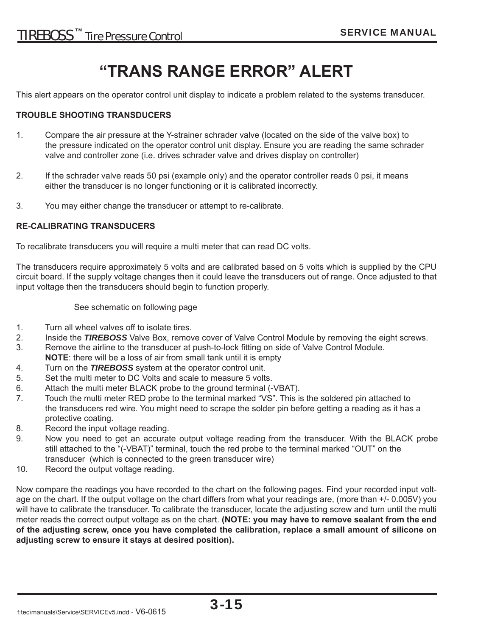### **"TRANS RANGE ERROR" ALERT**

This alert appears on the operator control unit display to indicate a problem related to the systems transducer.

#### **TROUBLE SHOOTING TRANSDUCERS**

- 1. Compare the air pressure at the Y-strainer schrader valve (located on the side of the valve box) to the pressure indicated on the operator control unit display. Ensure you are reading the same schrader valve and controller zone (i.e. drives schrader valve and drives display on controller)
- 2. If the schrader valve reads 50 psi (example only) and the operator controller reads 0 psi, it means either the transducer is no longer functioning or it is calibrated incorrectly.
- 3. You may either change the transducer or attempt to re-calibrate.

#### **RE-CALIBRATING TRANSDUCERS**

To recalibrate transducers you will require a multi meter that can read DC volts.

The transducers require approximately 5 volts and are calibrated based on 5 volts which is supplied by the CPU circuit board. If the supply voltage changes then it could leave the transducers out of range. Once adjusted to that input voltage then the transducers should begin to function properly.

See schematic on following page

- 1. Turn all wheel valves off to isolate tires.
- 2. Inside the *TIREBOSS* Valve Box, remove cover of Valve Control Module by removing the eight screws.
- 3. Remove the airline to the transducer at push-to-lock fi tting on side of Valve Control Module. **NOTE**: there will be a loss of air from small tank until it is empty
- 4. Turn on the *TIREBOSS* system at the operator control unit.
- 5. Set the multi meter to DC Volts and scale to measure 5 volts.
- 6. Attach the multi meter BLACK probe to the ground terminal (-VBAT).
- 7. Touch the multi meter RED probe to the terminal marked "VS". This is the soldered pin attached to the transducers red wire. You might need to scrape the solder pin before getting a reading as it has a protective coating.
- 8. Record the input voltage reading.
- 9. Now you need to get an accurate output voltage reading from the transducer. With the BLACK probe still attached to the "(-VBAT)" terminal, touch the red probe to the terminal marked "OUT" on the transducer (which is connected to the green transducer wire)
- 10. Record the output voltage reading.

Now compare the readings you have recorded to the chart on the following pages. Find your recorded input voltage on the chart. If the output voltage on the chart differs from what your readings are, (more than +/-0.005V) you will have to calibrate the transducer. To calibrate the transducer, locate the adjusting screw and turn until the multi meter reads the correct output voltage as on the chart. **(NOTE: you may have to remove sealant from the end of the adjusting screw, once you have completed the calibration, replace a small amount of silicone on adjusting screw to ensure it stays at desired position).**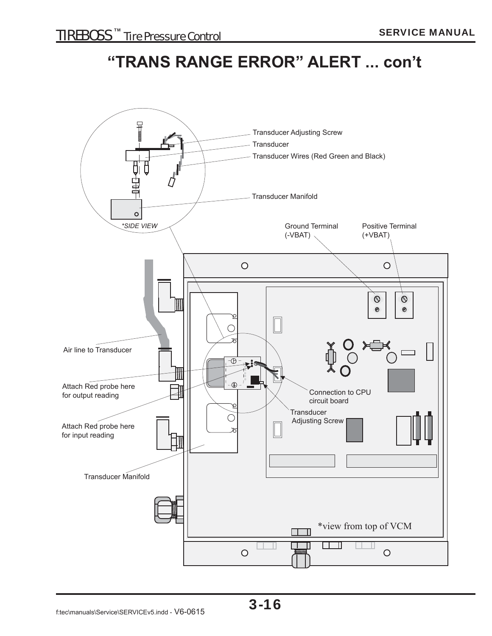### **"TRANS RANGE ERROR" ALERT ... con't**

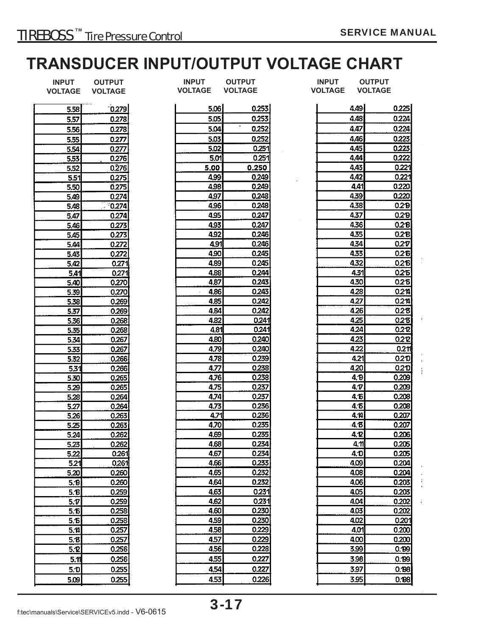### **TRANSDUCER INPUT/OUTPUT VOLTAGE CHART**

| <b>INPUT</b><br><b>VOLTAGE</b> | <b>OUTPUT</b><br><b>VOLTAGE</b> | <b>INPUT</b><br><b>VOLTAGE</b> |              | <b>OUTPUT</b><br><b>VOLTAGE</b> | <b>INPUT</b><br><b>VOLTAGE</b> | <b>OUTPUT</b><br><b>VOLTAGE</b> |
|--------------------------------|---------------------------------|--------------------------------|--------------|---------------------------------|--------------------------------|---------------------------------|
|                                |                                 |                                |              |                                 |                                |                                 |
| 5,58                           | 0.279                           |                                | 5.06         | 0.253                           | 4.49                           | 0.225                           |
| 5.57                           | 0.278                           |                                | 5.05         | 0.253                           | 4.48                           | 0.224                           |
| 5.56                           | 0.278                           |                                | 5.04         | ٠<br>0.252                      | 4.47                           | 0.224                           |
| 5.55                           | 0.277                           |                                | 5.03         | 0.252                           | 4.46                           | 0.223                           |
| 5.54                           | 0.277                           |                                | 5.02         | 0.251                           | 4.45                           | 0.223                           |
| 5.53                           | 0.276                           |                                | 5.01         | 0.251                           | 4.44                           | 0.222                           |
| 5.52                           | 0276                            |                                | 5.00         | 0.250                           | 4.43                           | 0.221                           |
| 5.51                           | 0.275                           |                                | 4.99         | 0.249                           | 4.42                           | 0.221                           |
| 5.50                           | 0.275                           |                                | 4.98         | 0.249                           | 4.41                           | 0.220                           |
| 5.49                           | 0.274                           |                                | 4.97         | 0.248                           | 439                            | 0.220                           |
| 5.48                           | > 0.274                         |                                | 4.96         | 0.248                           | 4.38                           | 0.2P                            |
| 5.47                           | 0.274                           |                                | 4.95         | 0.247                           | 4,37                           | 0.2P                            |
| 5.46                           | 0.273                           |                                | 4.93         | 0.247                           | 4.36                           | 0.2B                            |
| 5.45                           | 0.273                           |                                | 4.92         | 0.246                           | 4.35                           | 0.2 <sup>B</sup>                |
| 5.44                           | 0.272                           |                                | 4.91         | 0.246                           | 4,34                           | 0.2 <sub>T</sub>                |
| 5.43                           | 0.272                           |                                | 4.90         | 0.245                           | 4.33                           | 0.26                            |
| 5.42                           | 0.271                           |                                | 4.89         | 0.245                           | 4.32                           | 0.216                           |
| 5.41                           | 0.271                           |                                | 4.88         | 0.244                           | 4.31                           | 0.215                           |
| 5.40                           | 0.270                           |                                | 4.87         | 0.243                           | 4.30                           | 0.215                           |
|                                | 0.270                           |                                | 4.86         | 0.243                           | 4.28                           | 0.214                           |
| 5.39                           | 0.269                           |                                | 4.85         | 0.242                           | 4.27                           | 0.214                           |
| 5.38                           | 0.269                           |                                | 4.84         | 0.242                           | 4.26                           | 0.2 <sup>B</sup>                |
| 5.37                           |                                 |                                | 4.82         | 0.241                           | 4.25                           | 0.2 <sup>B</sup>                |
| 5.36                           | 0.268                           |                                | 4.81         | 0.241                           | 4.24                           | 0.212                           |
| 5.35                           | 0.268                           |                                |              | 0.240                           | 4.23                           | 0.222                           |
| 5.34                           | 0.267                           |                                | 4.80<br>4.79 | 0.240                           | 4.22                           |                                 |
| 5.33                           | 0.267                           |                                |              | 0.239                           |                                | 0.2 <sub>1</sub>                |
| 5.32                           | 0.266                           |                                | 4.78         | 0.238                           | 4.21                           | 0.210                           |
| 5.31                           | 0.266                           |                                | 4.77         | 0.238                           | 420                            | 02D                             |
| 5.30                           | 0.265                           |                                | 4.76         |                                 | 4. <sub>1</sub> 9              | 0.209                           |
| 5.29                           | 0.265                           |                                | 4.75         | 0.237                           | 4.T                            | 0.209                           |
| 5.28                           | 0.264                           |                                | 474          | 0.237                           | 4. Б                           | 0.208                           |
| 5.27                           | 0.264                           |                                | 4.73         | 0.236<br>0.236                  | 4.5                            | 0.208<br>0.207                  |
| 5.26                           | 0.263                           |                                | 4.71         | 0.235                           | 4.14                           |                                 |
| 5.25                           | 0.263                           |                                | 4.70         |                                 | 4.B                            | 0.207                           |
| 5.24                           | 0.262                           |                                | 4.69         | 0.235                           | 4.2                            | 0.206                           |
| 5.23                           | 0.262                           |                                | 4.68         | 0.234                           | $4\pi$                         | 0.205                           |
| 5.22                           | 0.261                           |                                | 4.67         | 0.234                           | 4.D                            | 0.205                           |
| 5.21                           | 0.261                           |                                | 4.66         | 0.233                           | 4.09                           | 0.204                           |
| 5.20                           | 0.260                           |                                | 4.65         | 0.232                           | 4.08                           | 0.204                           |
| 5.0                            | 0.260                           |                                | 4.64         | 0.232                           | 4.06                           | 0.203                           |
| 5.6                            | 0.259                           |                                | 4.63         | 0.231                           | 4.05                           | 0.203                           |
| 5.7                            | 0.259                           |                                | 4.62         | 0.231                           | 4.04                           | 0.202                           |
| 5.16                           | 0.258                           |                                | 4.60         | 0.230                           | 4.03                           | 0.202                           |
| 5.6                            | 0.258                           |                                | 4.59         | 0.230                           | 4.02                           | 0.201                           |
| 5.14                           | 0.257                           |                                | 4.58         | 0.229                           | 4.01                           | 0.200                           |
| 5.6                            | 0.257                           |                                | 4.57         | 0.229                           | 4.00                           | 0.200                           |
| 5.2                            | 0.256                           |                                | 4.56         | 0.228                           | 3.99                           | 0.199                           |
| 5.11                           | 0.256                           |                                | 4.55         | 0.227                           | 3.98                           | 0.199                           |
| 5.1                            | 0.255                           |                                | 4.54         | 0.227                           | 3.97                           | 0.198                           |
| 5.09                           | 0.255                           |                                | 4.53         | 0.226                           | 3.95                           | 0.198                           |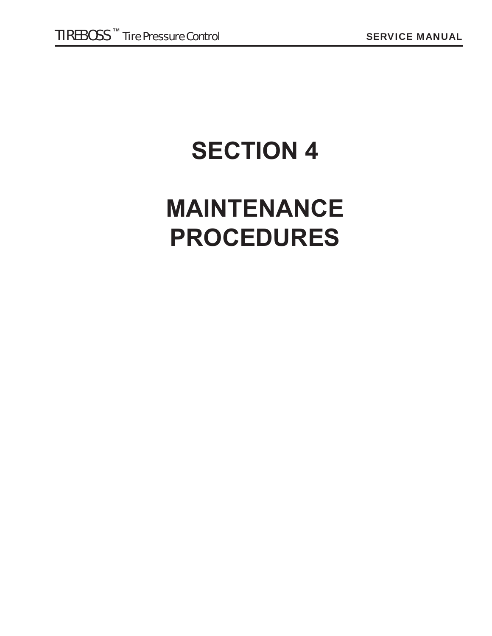## **SECTION 4**

## **MAINTENANCE PROCEDURES**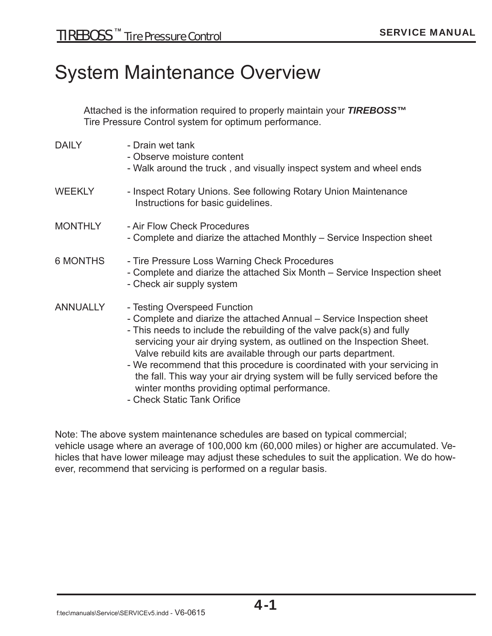### System Maintenance Overview

Attached is the information required to properly maintain your *TIREBOSS™*  Tire Pressure Control system for optimum performance.

| <b>DAILY</b>    | - Drain wet tank<br>- Observe moisture content<br>- Walk around the truck, and visually inspect system and wheel ends                                                                                                                                                                                                                                                                                                                                                                                                                                                |
|-----------------|----------------------------------------------------------------------------------------------------------------------------------------------------------------------------------------------------------------------------------------------------------------------------------------------------------------------------------------------------------------------------------------------------------------------------------------------------------------------------------------------------------------------------------------------------------------------|
| <b>WEEKLY</b>   | - Inspect Rotary Unions. See following Rotary Union Maintenance<br>Instructions for basic guidelines.                                                                                                                                                                                                                                                                                                                                                                                                                                                                |
| <b>MONTHLY</b>  | - Air Flow Check Procedures<br>- Complete and diarize the attached Monthly – Service Inspection sheet                                                                                                                                                                                                                                                                                                                                                                                                                                                                |
| <b>6 MONTHS</b> | - Tire Pressure Loss Warning Check Procedures<br>- Complete and diarize the attached Six Month – Service Inspection sheet<br>- Check air supply system                                                                                                                                                                                                                                                                                                                                                                                                               |
| <b>ANNUALLY</b> | - Testing Overspeed Function<br>- Complete and diarize the attached Annual – Service Inspection sheet<br>- This needs to include the rebuilding of the valve pack(s) and fully<br>servicing your air drying system, as outlined on the Inspection Sheet.<br>Valve rebuild kits are available through our parts department.<br>- We recommend that this procedure is coordinated with your servicing in<br>the fall. This way your air drying system will be fully serviced before the<br>winter months providing optimal performance.<br>- Check Static Tank Orifice |

Note: The above system maintenance schedules are based on typical commercial; vehicle usage where an average of 100,000 km (60,000 miles) or higher are accumulated. Vehicles that have lower mileage may adjust these schedules to suit the application. We do however, recommend that servicing is performed on a regular basis.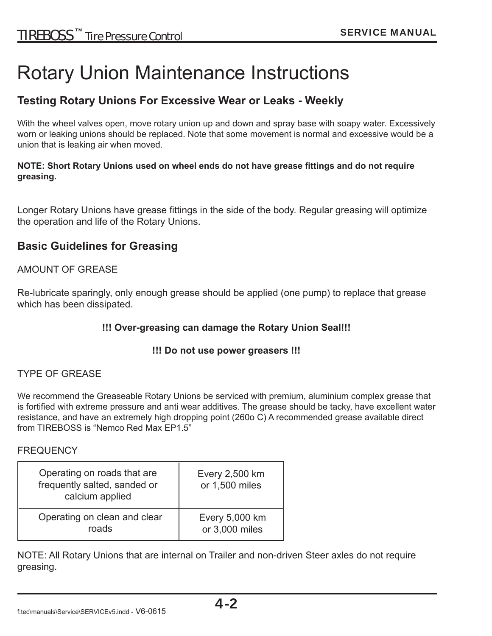### Rotary Union Maintenance Instructions

#### **Testing Rotary Unions For Excessive Wear or Leaks - Weekly**

With the wheel valves open, move rotary union up and down and spray base with soapy water. Excessively worn or leaking unions should be replaced. Note that some movement is normal and excessive would be a union that is leaking air when moved.

#### **NOTE: Short Rotary Unions used on wheel ends do not have grease fittings and do not require greasing.**

Longer Rotary Unions have grease fittings in the side of the body. Regular greasing will optimize the operation and life of the Rotary Unions.

#### **Basic Guidelines for Greasing**

#### AMOUNT OF GREASE

Re-lubricate sparingly, only enough grease should be applied (one pump) to replace that grease which has been dissipated.

#### **!!! Over-greasing can damage the Rotary Union Seal!!!**

#### **!!! Do not use power greasers !!!**

#### TYPE OF GREASE

We recommend the Greaseable Rotary Unions be serviced with premium, aluminium complex grease that is fortified with extreme pressure and anti wear additives. The grease should be tacky, have excellent water resistance, and have an extremely high dropping point (260o C) A recommended grease available direct from TIREBOSS is "Nemco Red Max EP1.5"

#### **FREQUENCY**

| Operating on roads that are<br>frequently salted, sanded or<br>calcium applied | Every 2,500 km<br>or 1,500 miles |
|--------------------------------------------------------------------------------|----------------------------------|
| Operating on clean and clear                                                   | Every 5,000 km                   |
| roads                                                                          | or 3,000 miles                   |

NOTE: All Rotary Unions that are internal on Trailer and non-driven Steer axles do not require greasing.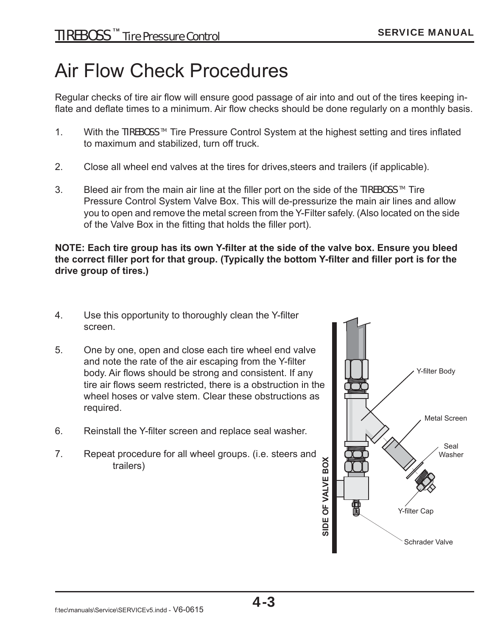## Air Flow Check Procedures

Regular checks of tire air flow will ensure good passage of air into and out of the tires keeping inflate and deflate times to a minimum. Air flow checks should be done regularly on a monthly basis.

- 1. With the TIREBOSS<sup>™</sup> Tire Pressure Control System at the highest setting and tires inflated to maximum and stabilized, turn off truck.
- 2. Close all wheel end valves at the tires for drives,steers and trailers (if applicable).
- 3. Bleed air from the main air line at the filler port on the side of the TIREBOSS  $M$  Tire Pressure Control System Valve Box. This will de-pressurize the main air lines and allow you to open and remove the metal screen from the Y-Filter safely. (Also located on the side of the Valve Box in the fitting that holds the filler port).

#### **NOTE: Each tire group has its own Y-filter at the side of the valve box. Ensure you bleed** the correct filler port for that group. (Typically the bottom Y-filter and filler port is for the **drive group of tires.)**

- 4. Use this opportunity to thoroughly clean the Y-filter screen.
- 5. One by one, open and close each tire wheel end valve and note the rate of the air escaping from the Y-filter body. Air flows should be strong and consistent. If any tire air flows seem restricted, there is a obstruction in the wheel hoses or valve stem. Clear these obstructions as required.
- 6. Reinstall the Y-filter screen and replace seal washer.
- 7. Repeat procedure for all wheel groups. (i.e. steers and trailers)

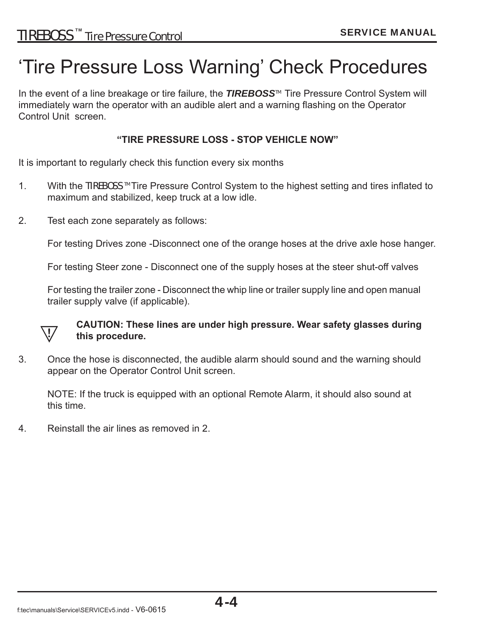## 'Tire Pressure Loss Warning' Check Procedures

In the event of a line breakage or tire failure, the **TIREBOSS<sup>™</sup> Tire Pressure Control System will** immediately warn the operator with an audible alert and a warning flashing on the Operator Control Unit screen.

#### **"TIRE PRESSURE LOSS - STOP VEHICLE NOW"**

It is important to regularly check this function every six months

- 1. With the TIREBOSS <sup>™</sup> Tire Pressure Control System to the highest setting and tires inflated to maximum and stabilized, keep truck at a low idle.
- 2. Test each zone separately as follows:

For testing Drives zone -Disconnect one of the orange hoses at the drive axle hose hanger.

For testing Steer zone - Disconnect one of the supply hoses at the steer shut-off valves

 For testing the trailer zone - Disconnect the whip line or trailer supply line and open manual trailer supply valve (if applicable).



#### **CAUTION: These lines are under high pressure. Wear safety glasses during this procedure.**

3. Once the hose is disconnected, the audible alarm should sound and the warning should appear on the Operator Control Unit screen.

NOTE: If the truck is equipped with an optional Remote Alarm, it should also sound at this time.

4. Reinstall the air lines as removed in 2.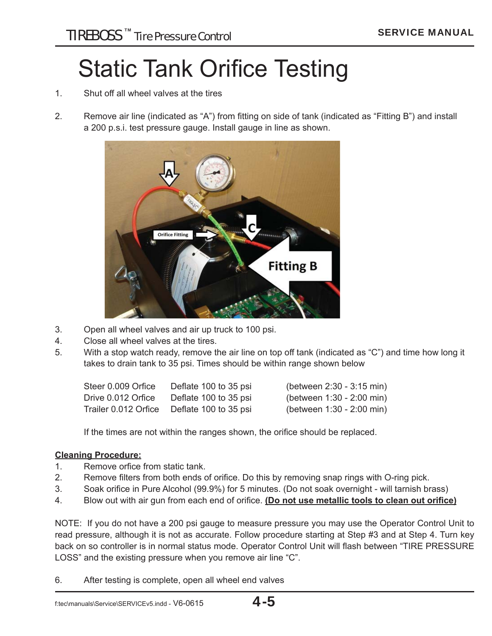## **Static Tank Orifice Testing**

- 1. Shut off all wheel valves at the tires
- 2. Remove air line (indicated as "A") from fitting on side of tank (indicated as "Fitting B") and install a 200 p.s.i. test pressure gauge. Install gauge in line as shown.



- 3. Open all wheel valves and air up truck to 100 psi.
- 4. Close all wheel valves at the tires.
- 5. With a stop watch ready, remove the air line on top off tank (indicated as "C") and time how long it takes to drain tank to 35 psi. Times should be within range shown below

| Steer 0.009 Orfice   | Deflate 100 to 35 psi | (between 2:30 - 3:15 min) |
|----------------------|-----------------------|---------------------------|
| Drive 0.012 Orfice   | Deflate 100 to 35 psi | (between 1:30 - 2:00 min) |
| Trailer 0.012 Orfice | Deflate 100 to 35 psi | (between 1:30 - 2:00 min) |

If the times are not within the ranges shown, the orifice should be replaced.

#### **Cleaning Procedure:**

- 1. Remove orfice from static tank.
- 2. Remove filters from both ends of orifice. Do this by removing snap rings with O-ring pick.
- 3. Soak orifice in Pure Alcohol (99.9%) for 5 minutes. (Do not soak overnight will tarnish brass)
- 4. Blow out with air gun from each end of orifice. **(Do not use metallic tools to clean out orifice)**

NOTE: If you do not have a 200 psi gauge to measure pressure you may use the Operator Control Unit to read pressure, although it is not as accurate. Follow procedure starting at Step #3 and at Step 4. Turn key back on so controller is in normal status mode. Operator Control Unit will flash between "TIRE PRESSURE LOSS" and the existing pressure when you remove air line "C".

6. After testing is complete, open all wheel end valves

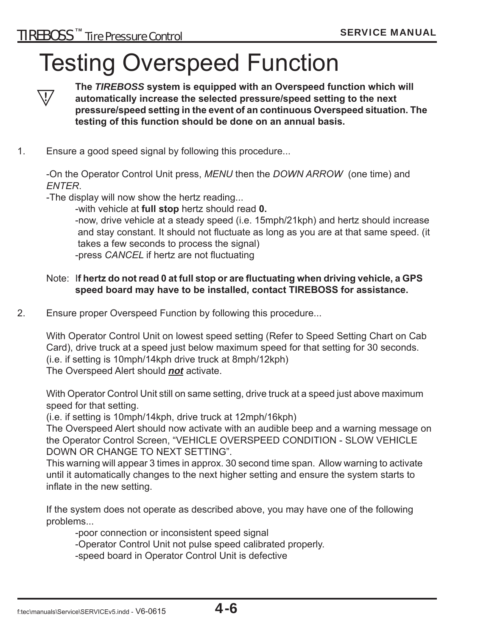## Testing Overspeed Function



The *TIREBOSS* system is equipped with an Overspeed function which will<br><sup>17</sup> automatically increase the selected pressure/speed setting to the next  **automatically increase the selected pressure/speed setting to the next pressure/speed setting in the event of an continuous Overspeed situation. The testing of this function should be done on an annual basis.**

1. Ensure a good speed signal by following this procedure...

 -On the Operator Control Unit press, *MENU* then the *DOWN ARROW* (one time) and *ENTER*.

-The display will now show the hertz reading...

-with vehicle at **full stop** hertz should read **0.**

-now, drive vehicle at a steady speed (i.e. 15mph/21kph) and hertz should increase and stay constant. It should not fluctuate as long as you are at that same speed. (it takes a few seconds to process the signal) -press *CANCEL* if hertz are not fluctuating

#### Note: If hertz do not read 0 at full stop or are fluctuating when driving vehicle, a GPS  **speed board may have to be installed, contact TIREBOSS for assistance.**

2. Ensure proper Overspeed Function by following this procedure...

 With Operator Control Unit on lowest speed setting (Refer to Speed Setting Chart on Cab Card), drive truck at a speed just below maximum speed for that setting for 30 seconds. (i.e. if setting is 10mph/14kph drive truck at 8mph/12kph) The Overspeed Alert should *not* activate.

 With Operator Control Unit still on same setting, drive truck at a speed just above maximum speed for that setting.

(i.e. if setting is 10mph/14kph, drive truck at 12mph/16kph)

 The Overspeed Alert should now activate with an audible beep and a warning message on the Operator Control Screen, "VEHICLE OVERSPEED CONDITION - SLOW VEHICLE DOWN OR CHANGE TO NEXT SETTING".

 This warning will appear 3 times in approx. 30 second time span. Allow warning to activate until it automatically changes to the next higher setting and ensure the system starts to inflate in the new setting.

 If the system does not operate as described above, you may have one of the following problems...

-poor connection or inconsistent speed signal

-Operator Control Unit not pulse speed calibrated properly.

-speed board in Operator Control Unit is defective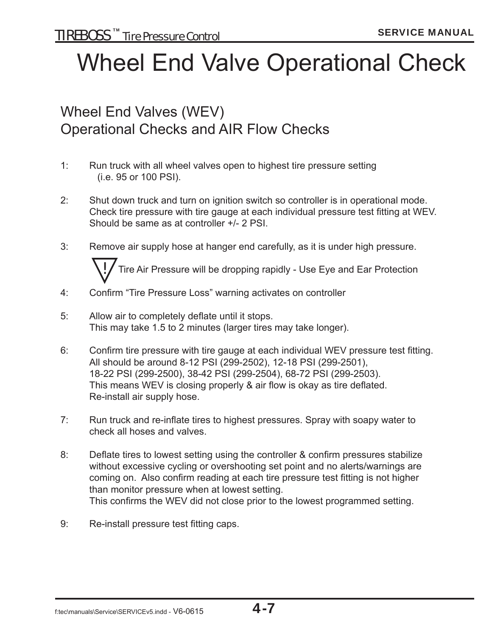## Wheel End Valve Operational Check

### Wheel End Valves (WEV) Operational Checks and AIR Flow Checks

- 1: Run truck with all wheel valves open to highest tire pressure setting (i.e. 95 or 100 PSI).
- 2: Shut down truck and turn on ignition switch so controller is in operational mode. Check tire pressure with tire gauge at each individual pressure test fitting at WEV. Should be same as at controller +/- 2 PSI.
- 3: Remove air supply hose at hanger end carefully, as it is under high pressure.



- 4: Confirm "Tire Pressure Loss" warning activates on controller
- 5: Allow air to completely deflate until it stops. This may take 1.5 to 2 minutes (larger tires may take longer).
- 6: Confirm tire pressure with tire gauge at each individual WEV pressure test fitting. All should be around 8-12 PSI (299-2502), 12-18 PSI (299-2501), 18-22 PSI (299-2500), 38-42 PSI (299-2504), 68-72 PSI (299-2503). This means WEV is closing properly & air flow is okay as tire deflated. Re-install air supply hose.
- 7: Run truck and re-inflate tires to highest pressures. Spray with soapy water to check all hoses and valves.
- 8: Deflate tires to lowest setting using the controller & confirm pressures stabilize without excessive cycling or overshooting set point and no alerts/warnings are coming on. Also confirm reading at each tire pressure test fitting is not higher than monitor pressure when at lowest setting. This confirms the WEV did not close prior to the lowest programmed setting.
- 9: Re-install pressure test fitting caps.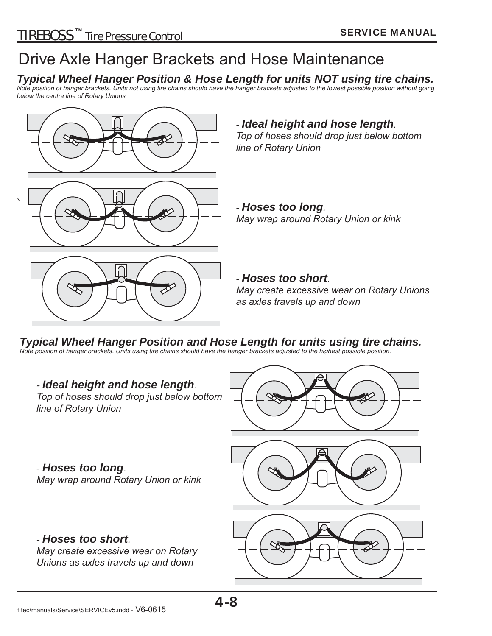### Drive Axle Hanger Brackets and Hose Maintenance

#### *Typical Wheel Hanger Position & Hose Length for units NOT using tire chains.*

*Note position of hanger brackets. Units not using tire chains should have the hanger brackets adjusted to the lowest possible position without going below the centre line of Rotary Unions*



#### *- Ideal height and hose length.*

*Top of hoses should drop just below bottom line of Rotary Union*

*- Hoses too long. May wrap around Rotary Union or kink*

*- Hoses too short. May create excessive wear on Rotary Unions as axles travels up and down*

*Typical Wheel Hanger Position and Hose Length for units using tire chains. Note position of hanger brackets. Units using tire chains should have the hanger brackets adjusted to the highest possible position.*

## *- Ideal height and hose length. Top of hoses should drop just below bottom line of Rotary Union - Hoses too long. May wrap around Rotary Union or kink - Hoses too short. May create excessive wear on Rotary Unions as axles travels up and down*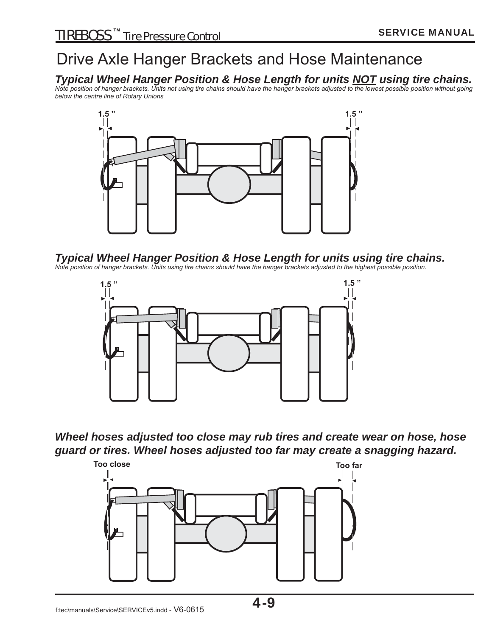### Drive Axle Hanger Brackets and Hose Maintenance

#### *Typical Wheel Hanger Position & Hose Length for units NOT using tire chains.*

*Note position of hanger brackets. Units not using tire chains should have the hanger brackets adjusted to the lowest possible position without going below the centre line of Rotary Unions*



#### *Typical Wheel Hanger Position & Hose Length for units using tire chains.*

*Note position of hanger brackets. Units using tire chains should have the hanger brackets adjusted to the highest possible position.*



*Wheel hoses adjusted too close may rub tires and create wear on hose, hose guard or tires. Wheel hoses adjusted too far may create a snagging hazard.*

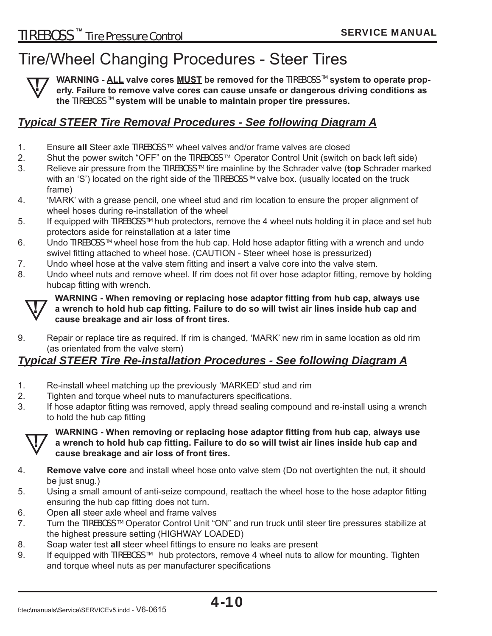### Tire/Wheel Changing Procedures - Steer Tires



**WARNING - ALL valve cores MUST be removed for the TIREBOSS™ system to operate properly. Failure to remove valve cores can cause unsafe or dangerous driving conditions as the** TIREBOSS TM **system will be unable to maintain proper tire pressures.**

#### *Typical STEER Tire Removal Procedures - See following Diagram A*

- 1. Ensure **all** Steer axle TIREBOSS TM wheel valves and/or frame valves are closed
- 2. Shut the power switch "OFF" on the TIREBOSS ™ Operator Control Unit (switch on back left side)
- 3. Relieve air pressure from the TIREBOSS TM tire mainline by the Schrader valve (**top** Schrader marked with an 'S') located on the right side of the TIREBOSS<sup>™</sup> valve box. (usually located on the truck frame)
- 4. 'MARK' with a grease pencil, one wheel stud and rim location to ensure the proper alignment of wheel hoses during re-installation of the wheel
- 5. If equipped with TIREBOSS ™ hub protectors, remove the 4 wheel nuts holding it in place and set hub protectors aside for reinstallation at a later time
- 6. Undo TIREBOSS ™ wheel hose from the hub cap. Hold hose adaptor fitting with a wrench and undo swivel fitting attached to wheel hose. (CAUTION - Steer wheel hose is pressurized)
- 7. Undo wheel hose at the valve stem fitting and insert a valve core into the valve stem.
- 8. Undo wheel nuts and remove wheel. If rim does not fit over hose adaptor fitting, remove by holding hubcap fitting with wrench.



**WARNING - When removing or replacing hose adaptor fitting from hub cap, always use**<br>a wrench to hold hub cap fitting. Failure to do so will twist air lines inside hub cap and **cause breakage and air loss of front tires.**

9. Repair or replace tire as required. If rim is changed, 'MARK' new rim in same location as old rim (as orientated from the valve stem)

#### *Typical STEER Tire Re-installation Procedures - See following Diagram A*

- 1. Re-install wheel matching up the previously 'MARKED' stud and rim
- 2. Tighten and torque wheel nuts to manufacturers specifications.
- 3. If hose adaptor fitting was removed, apply thread sealing compound and re-install using a wrench to hold the hub cap fitting



#### **WARNING - When removing or replacing hose adaptor fitting from hub cap, always use** a wrench to hold hub cap fitting. Failure to do so will twist air lines inside hub cap and **cause breakage and air loss of front tires.**

- 4. **Remove valve core** and install wheel hose onto valve stem (Do not overtighten the nut, it should be just snug.)
- 5. Using a small amount of anti-seize compound, reattach the wheel hose to the hose adaptor fitting ensuring the hub cap fitting does not turn.
- 6. Open **all** steer axle wheel and frame valves
- 7. Turn the TIREBOSS<sup>™</sup> Operator Control Unit "ON" and run truck until steer tire pressures stabilize at the highest pressure setting (HIGHWAY LOADED)
- 8. Soap water test all steer wheel fittings to ensure no leaks are present
- 9. If equipped with TIREBOSS<sup>™</sup> hub protectors, remove 4 wheel nuts to allow for mounting. Tighten and torque wheel nuts as per manufacturer specifications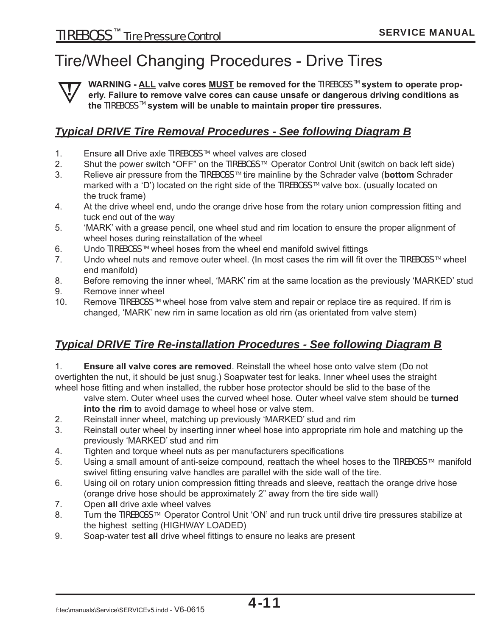### Tire/Wheel Changing Procedures - Drive Tires

**!**

**WARNING - ALL valve cores MUST be removed for the TIREBOSS™ system to operate properly. Failure to remove valve cores can cause unsafe or dangerous driving conditions as the** TIREBOSS TM **system will be unable to maintain proper tire pressures.**

#### *Typical DRIVE Tire Removal Procedures - See following Diagram B*

- 1. Ensure **all** Drive axle TIREBOSS TM wheel valves are closed
- 2. Shut the power switch "OFF" on the TIREBOSS ™ Operator Control Unit (switch on back left side)
- 3. Relieve air pressure from the TIREBOSS TM tire mainline by the Schrader valve (**bottom** Schrader marked with a 'D') located on the right side of the TIREBOSS<sup>™</sup> valve box. (usually located on the truck frame)
- 4. At the drive wheel end, undo the orange drive hose from the rotary union compression fitting and tuck end out of the way
- 5. 'MARK' with a grease pencil, one wheel stud and rim location to ensure the proper alignment of wheel hoses during reinstallation of the wheel
- 6. Undo TIREBOSS <sup>™</sup> wheel hoses from the wheel end manifold swivel fittings
- 7. Undo wheel nuts and remove outer wheel. (In most cases the rim will fit over the TIREBOSS  $M$  wheel end manifold)
- 8. Before removing the inner wheel, 'MARK' rim at the same location as the previously 'MARKED' stud
- 9. Remove inner wheel
- 10. Remove TIREBOSS<sup>™</sup> wheel hose from valve stem and repair or replace tire as required. If rim is changed, 'MARK' new rim in same location as old rim (as orientated from valve stem)

#### *Typical DRIVE Tire Re-installation Procedures - See following Diagram B*

1. **Ensure all valve cores are removed**. Reinstall the wheel hose onto valve stem (Do not overtighten the nut, it should be just snug.) Soapwater test for leaks. Inner wheel uses the straight wheel hose fitting and when installed, the rubber hose protector should be slid to the base of the

 valve stem. Outer wheel uses the curved wheel hose. Outer wheel valve stem should be **turned into the rim** to avoid damage to wheel hose or valve stem.

- 2. Reinstall inner wheel, matching up previously 'MARKED' stud and rim
- 3. Reinstall outer wheel by inserting inner wheel hose into appropriate rim hole and matching up the previously 'MARKED' stud and rim
- 4. Tighten and torque wheel nuts as per manufacturers specifications
- 5. Using a small amount of anti-seize compound, reattach the wheel hoses to the TIREBOSS ™ manifold swivel fitting ensuring valve handles are parallel with the side wall of the tire.
- 6. Using oil on rotary union compression fitting threads and sleeve, reattach the orange drive hose (orange drive hose should be approximately 2" away from the tire side wall)
- 7. Open **all** drive axle wheel valves
- 8. Turn the TIREBOSS<sup>™</sup> Operator Control Unit 'ON' and run truck until drive tire pressures stabilize at the highest setting (HIGHWAY LOADED)
- 9. Soap-water test all drive wheel fittings to ensure no leaks are present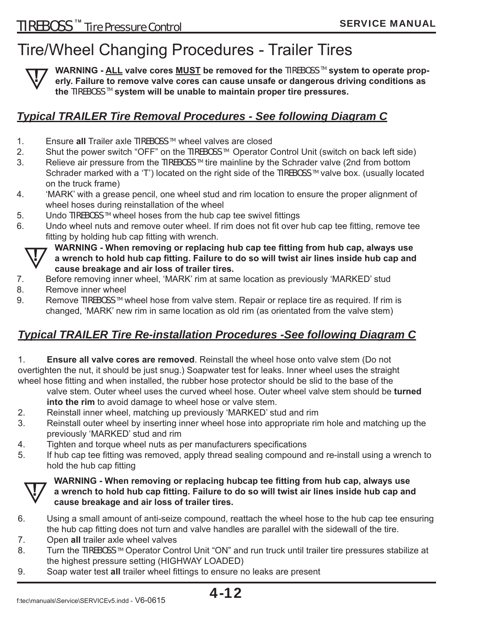### Tire/Wheel Changing Procedures - Trailer Tires



**WARNING - ALL valve cores MUST be removed for the TIREBOSS™ system to operate properly. Failure to remove valve cores can cause unsafe or dangerous driving conditions as the** TIREBOSS TM **system will be unable to maintain proper tire pressures.**

#### *Typical TRAILER Tire Removal Procedures - See following Diagram C*

- 1. Ensure **all** Trailer axle TIREBOSS TM wheel valves are closed
- 2. Shut the power switch "OFF" on the TIREBOSS ™ Operator Control Unit (switch on back left side)
- 3. Relieve air pressure from the TIREBOSS ™ tire mainline by the Schrader valve (2nd from bottom Schrader marked with a 'T') located on the right side of the TIREBOSS<sup>™</sup> valve box. (usually located on the truck frame)
- 4. 'MARK' with a grease pencil, one wheel stud and rim location to ensure the proper alignment of wheel hoses during reinstallation of the wheel
- 5. Undo TIREBOSS™ wheel hoses from the hub cap tee swivel fittings
- 6. Undo wheel nuts and remove outer wheel. If rim does not fit over hub cap tee fitting, remove tee fitting by holding hub cap fitting with wrench.

**WARNING** - When removing or replacing hub cap tee fitting from hub cap, always use a wrench to hold hub cap fitting. Failure to do so will twist air lines inside hub cap and **cause breakage and air loss of trailer tires.**

- 7. Before removing inner wheel, 'MARK' rim at same location as previously 'MARKED' stud
- 8. Remove inner wheel
- 9. Remove TIREBOSS<sup>™</sup> wheel hose from valve stem. Repair or replace tire as required. If rim is changed, 'MARK' new rim in same location as old rim (as orientated from the valve stem)

#### *Typical TRAILER Tire Re-installation Procedures -See following Diagram C*

1. **Ensure all valve cores are removed**. Reinstall the wheel hose onto valve stem (Do not overtighten the nut, it should be just snug.) Soapwater test for leaks. Inner wheel uses the straight wheel hose fitting and when installed, the rubber hose protector should be slid to the base of the

 valve stem. Outer wheel uses the curved wheel hose. Outer wheel valve stem should be **turned into the rim** to avoid damage to wheel hose or valve stem.

- 2. Reinstall inner wheel, matching up previously 'MARKED' stud and rim
- 3. Reinstall outer wheel by inserting inner wheel hose into appropriate rim hole and matching up the previously 'MARKED' stud and rim
- 4. Tighten and torque wheel nuts as per manufacturers specifications
- 5. If hub cap tee fitting was removed, apply thread sealing compound and re-install using a wrench to hold the hub cap fitting

### **WARNING - When removing or replacing hubcap tee fitting from hub cap, always use**<br>a wrench to hold hub cap fitting. Failure to do so will twist air lines inside hub cap and **cause breakage and air loss of trailer tires.**

- 6. Using a small amount of anti-seize compound, reattach the wheel hose to the hub cap tee ensuring the hub cap fitting does not turn and valve handles are parallel with the sidewall of the tire.
- 7. Open **all** trailer axle wheel valves
- 8. Turn the TIREBOSS ™ Operator Control Unit "ON" and run truck until trailer tire pressures stabilize at the highest pressure setting (HIGHWAY LOADED)
- 9. Soap water test all trailer wheel fittings to ensure no leaks are present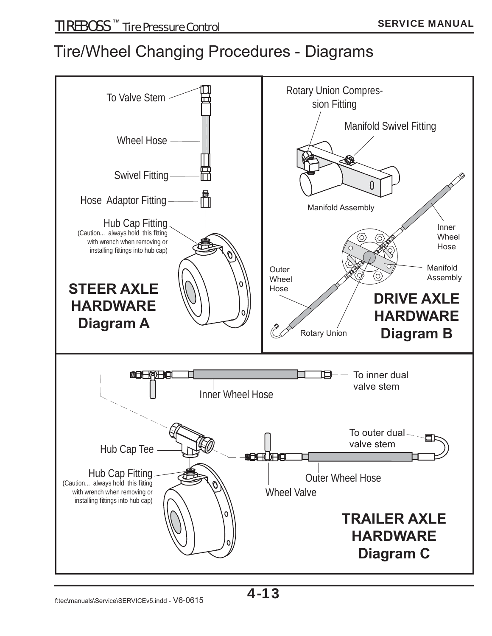### Tire/Wheel Changing Procedures - Diagrams

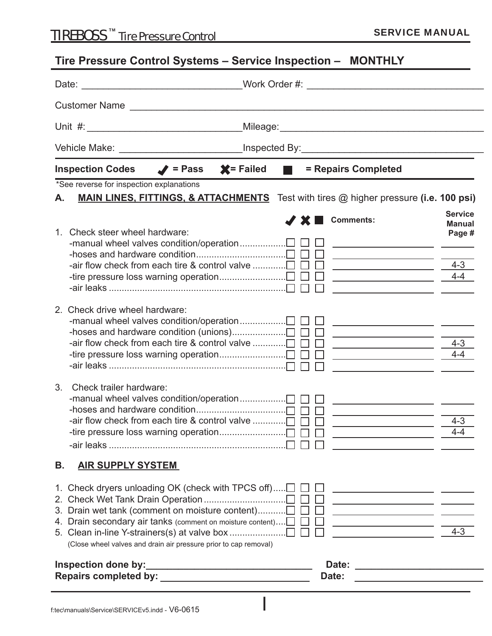### **Tire Pressure Control Systems – Service Inspection – MONTHLY**

|                                                                                                                                                                                                                                                                     | _Work Order #: ________________________________                                                                                                                                                                                                                                                                |  |  |  |  |  |
|---------------------------------------------------------------------------------------------------------------------------------------------------------------------------------------------------------------------------------------------------------------------|----------------------------------------------------------------------------------------------------------------------------------------------------------------------------------------------------------------------------------------------------------------------------------------------------------------|--|--|--|--|--|
|                                                                                                                                                                                                                                                                     |                                                                                                                                                                                                                                                                                                                |  |  |  |  |  |
|                                                                                                                                                                                                                                                                     |                                                                                                                                                                                                                                                                                                                |  |  |  |  |  |
|                                                                                                                                                                                                                                                                     |                                                                                                                                                                                                                                                                                                                |  |  |  |  |  |
| $\mathsf{X}$ = Failed<br><b>Inspection Codes</b><br>$\blacktriangleright$ = Pass<br><b>The Co</b>                                                                                                                                                                   | = Repairs Completed                                                                                                                                                                                                                                                                                            |  |  |  |  |  |
| *See reverse for inspection explanations<br><b>MAIN LINES, FITTINGS, &amp; ATTACHMENTS</b> Test with tires @ higher pressure (i.e. 100 psi)<br>А.                                                                                                                   |                                                                                                                                                                                                                                                                                                                |  |  |  |  |  |
| $\boldsymbol{X}$ $\boldsymbol{X}$ $\boldsymbol{Y}$<br>1. Check steer wheel hardware:                                                                                                                                                                                | <b>Service</b><br>Comments:<br><b>Manual</b><br>Page #<br><u> 1989 - Johann Barbara, martin da basar a</u><br>$4 - 3$<br>$\overline{\phantom{a}4-4}$<br><u> 1989 - Johann Barbara, martxa eta idazlea (h. 1908).</u>                                                                                           |  |  |  |  |  |
| 2. Check drive wheel hardware:<br>-air flow check from each tire & control valve $\Box$ $\Box$                                                                                                                                                                      | <u> 1980 - John Stone, francuski politik (d. 1980)</u><br>$4 - 3$<br><u> 2002 - Jan James Barnett, politik eta politik eta politik eta politik eta politik eta politik eta politik e</u> ta<br>$4 - 4$<br><u> 1989 - Johann John Stone, fransk politik (f. 1918)</u>                                           |  |  |  |  |  |
| 3 <sub>1</sub><br>Check trailer hardware:<br>-manual wheel valves condition/operation□ □ □                                                                                                                                                                          | <u> 1989 - John Stone, svensk politik (d. 19</u><br>$4 - 3$<br>$4 - 4$<br><u>and the state of the state of the state of the state of the state of the state of the state of the state of the state of the state of the state of the state of the state of the state of the state of the state of the state</u> |  |  |  |  |  |
| В.<br><u>AIR SUPPLY SYSTEM</u>                                                                                                                                                                                                                                      |                                                                                                                                                                                                                                                                                                                |  |  |  |  |  |
| 1. Check dryers unloading OK (check with TPCS off) $\Box$ $\Box$<br>3. Drain wet tank (comment on moisture content)<br>4. Drain secondary air tanks (comment on moisture content) $\Box$ $\Box$<br>(Close wheel valves and drain air pressure prior to cap removal) | <u> 1989 - Johann Barn, fransk politik (f. 1989)</u><br><u> 1989 - Johann Barn, fransk politik (f. 1918)</u><br><u> 1989 - Johann Barn, fransk politik (f. 1918)</u><br><u> 1989 - Johann Barn, mars eta bat erroman erroman erroman erroman erroman erroman erroman erroman erroman err</u><br>$4 - 3$        |  |  |  |  |  |
|                                                                                                                                                                                                                                                                     | Date:<br><u> 1980 - Andrea Andrew Amerikaanse kommunister (</u><br>Date:<br>the control of the control of the control of the control of the control of                                                                                                                                                         |  |  |  |  |  |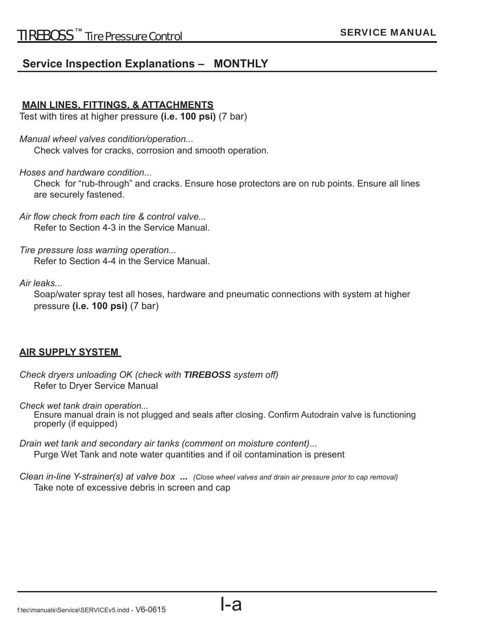#### **Service Inspection Explanations – MONTHLY**

#### **MAIN LINES, FITTINGS, & ATTACHMENTS**

Test with tires at higher pressure **(i.e. 100 psi)** (7 bar)

*Manual wheel valves condition/operation...*

Check valves for cracks, corrosion and smooth operation.

*Hoses and hardware condition...*

 Check for "rub-through" and cracks. Ensure hose protectors are on rub points. Ensure all lines are securely fastened.

Air flow check from each tire & control valve... Refer to Section 4-3 in the Service Manual.

*Tire pressure loss warning operation...* Refer to Section 4-4 in the Service Manual.

#### *Air leaks...*

Soap/water spray test all hoses, hardware and pneumatic connections with system at higher pressure **(i.e. 100 psi)** (7 bar)

#### **AIR SUPPLY SYSTEM**

*Check dryers unloading OK (check with TIREBOSS system off )* Refer to Dryer Service Manual

*Check wet tank drain operation...*

Ensure manual drain is not plugged and seals after closing. Confirm Autodrain valve is functioning properly (if equipped)

*Drain wet tank and secondary air tanks (comment on moisture content)*... Purge Wet Tank and note water quantities and if oil contamination is present

*Clean in-line Y-strainer(s) at valve box ... (Close wheel valves and drain air pressure prior to cap removal)* Take note of excessive debris in screen and cap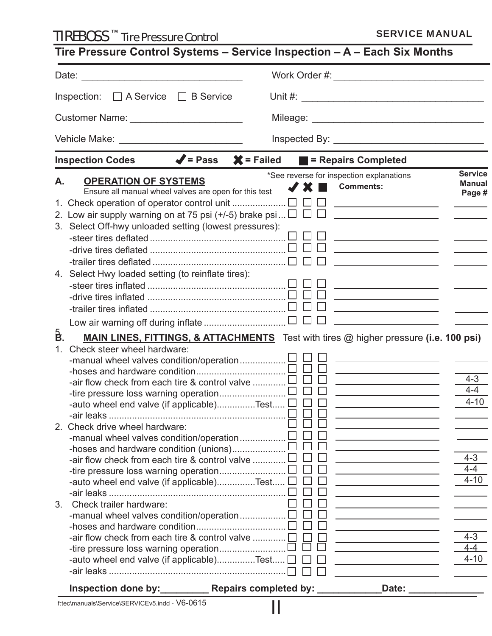SERVICE MANUAL TIREBOSS TM Tire Pressure Control

|                                                                                                                  | Work Order #: What I have a series of the series of the series of the series of the series of the series of the                                                                         |                                                                                       |  |  |
|------------------------------------------------------------------------------------------------------------------|-----------------------------------------------------------------------------------------------------------------------------------------------------------------------------------------|---------------------------------------------------------------------------------------|--|--|
| $\Box$ A Service $\Box$ B Service<br>Inspection:                                                                 |                                                                                                                                                                                         |                                                                                       |  |  |
| Customer Name: ___________________________                                                                       |                                                                                                                                                                                         |                                                                                       |  |  |
|                                                                                                                  |                                                                                                                                                                                         |                                                                                       |  |  |
| Vehicle Make: ___________________________                                                                        |                                                                                                                                                                                         |                                                                                       |  |  |
| Inspection Codes $\blacklozenge$ = Pass $\blacktriangleright$ = Failed $\blacktriangleright$ = Repairs Completed |                                                                                                                                                                                         | <b>Service</b>                                                                        |  |  |
| <b>OPERATION OF SYSTEMS</b><br>А.<br>Ensure all manual wheel valves are open for this test                       | *See reverse for inspection explanations<br><b>Comments:</b><br>JX                                                                                                                      | <b>Manual</b><br>Page #                                                               |  |  |
|                                                                                                                  | $\Box$<br><u> 1989 - Johann Barbara, martxa al III-lea (h. 1976).</u>                                                                                                                   |                                                                                       |  |  |
| 2. Low air supply warning on at 75 psi (+/-5) brake psi $\Box$ $\Box$ $\Box$                                     | <u> 1980 - Andrea Station Barbara, politik eta provincia eta provincia eta provincia eta provincia eta provincia</u>                                                                    |                                                                                       |  |  |
| 3. Select Off-hwy unloaded setting (lowest pressures):                                                           |                                                                                                                                                                                         |                                                                                       |  |  |
|                                                                                                                  | <u> 1980 - Johann Barn, fransk politik (</u>                                                                                                                                            |                                                                                       |  |  |
|                                                                                                                  | the control of the control of the control of the                                                                                                                                        |                                                                                       |  |  |
|                                                                                                                  | $\perp$<br><u> 1989 - Johann Barbara, martxa al III-lea (h. 1974).</u>                                                                                                                  | $\mathcal{L}^{\text{max}}_{\text{max}}$ , and $\mathcal{L}^{\text{max}}_{\text{max}}$ |  |  |
| 4. Select Hwy loaded setting (to reinflate tires):                                                               |                                                                                                                                                                                         |                                                                                       |  |  |
|                                                                                                                  | <u> 1989 - Johann John Stone, mars et al. 1989 - John Stone, mars et al. 1989 - John Stone, mars et al. 1989 - Joh</u>                                                                  |                                                                                       |  |  |
|                                                                                                                  | <u> 1989 - Johann Barnett, fransk politiker (d. 1989)</u>                                                                                                                               |                                                                                       |  |  |
|                                                                                                                  |                                                                                                                                                                                         | $\frac{1}{2}$ and $\frac{1}{2}$ and $\frac{1}{2}$                                     |  |  |
|                                                                                                                  |                                                                                                                                                                                         |                                                                                       |  |  |
| å.                                                                                                               |                                                                                                                                                                                         |                                                                                       |  |  |
|                                                                                                                  | <b>MAIN LINES, FITTINGS, &amp; ATTACHMENTS</b> Test with tires @ higher pressure (i.e. 100 psi)                                                                                         |                                                                                       |  |  |
| Check steer wheel hardware:<br>1 <sub>1</sub>                                                                    |                                                                                                                                                                                         |                                                                                       |  |  |
|                                                                                                                  | <u> 1989 - Johann Barn, mars et al. (b. 1989)</u>                                                                                                                                       |                                                                                       |  |  |
|                                                                                                                  | <u> 1989 - Johann Stein, mars an deus Amerikaansk kommunister (</u>                                                                                                                     |                                                                                       |  |  |
| -air flow check from each tire & control valve                                                                   |                                                                                                                                                                                         | $4 - 3$                                                                               |  |  |
|                                                                                                                  | <u> 1989 - Andrea Station Books, amerikansk politiker (</u>                                                                                                                             | $4 - 4$                                                                               |  |  |
| -auto wheel end valve (if applicable)Test $\sqcup \sqcup$                                                        |                                                                                                                                                                                         |                                                                                       |  |  |
|                                                                                                                  |                                                                                                                                                                                         |                                                                                       |  |  |
| 2. Check drive wheel hardware:                                                                                   |                                                                                                                                                                                         |                                                                                       |  |  |
| -manual wheel valves condition/operation                                                                         | the control of the control of the control of the control of                                                                                                                             |                                                                                       |  |  |
|                                                                                                                  | the control of the control of the control of the control of                                                                                                                             |                                                                                       |  |  |
| -air flow check from each tire & control valve                                                                   |                                                                                                                                                                                         | $4 - 3$                                                                               |  |  |
|                                                                                                                  |                                                                                                                                                                                         | $4 - 4$                                                                               |  |  |
| -auto wheel end valve (if applicable)Test $\square$                                                              |                                                                                                                                                                                         |                                                                                       |  |  |
| 3 <sub>1</sub>                                                                                                   | <u> 1989 - Andrea Station Books, amerikansk politik (</u>                                                                                                                               |                                                                                       |  |  |
| Check trailer hardware:                                                                                          | <u> 1989 - Johann Barbara, martin amerikan basar dan basa dan basar dalam basa dalam basa dalam basa dalam basa </u><br>the control of the control of the control of the control of the |                                                                                       |  |  |
| -manual wheel valves condition/operation $\square$                                                               |                                                                                                                                                                                         |                                                                                       |  |  |
| -air flow check from each tire & control valve                                                                   |                                                                                                                                                                                         | $4 - 3$                                                                               |  |  |
|                                                                                                                  |                                                                                                                                                                                         | $4 - 4$                                                                               |  |  |
| -auto wheel end valve (if applicable)Test [                                                                      | <u> 1989 - Johann Stoff, fransk politik (</u>                                                                                                                                           | $4 - 10$<br>$4 - 10$<br>$4 - 10$                                                      |  |  |
|                                                                                                                  |                                                                                                                                                                                         |                                                                                       |  |  |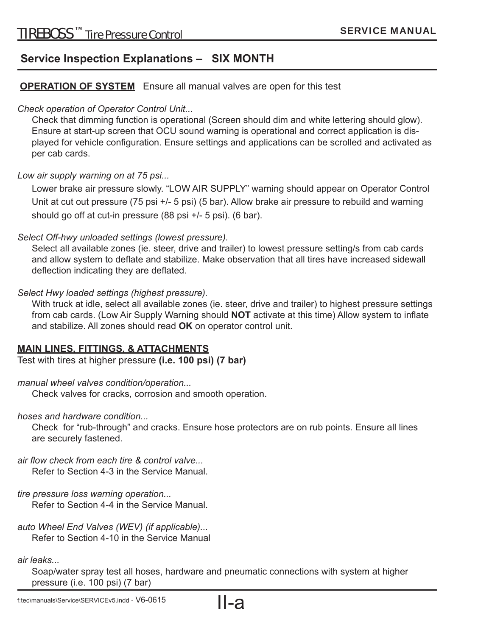#### **Service Inspection Explanations – SIX MONTH**

#### **OPERATION OF SYSTEM** Ensure all manual valves are open for this test

#### *Check operation of Operator Control Unit...*

 Check that dimming function is operational (Screen should dim and white lettering should glow). Ensure at start-up screen that OCU sound warning is operational and correct application is displayed for vehicle configuration. Ensure settings and applications can be scrolled and activated as per cab cards.

#### *Low air supply warning on at 75 psi...*

 Lower brake air pressure slowly. "LOW AIR SUPPLY" warning should appear on Operator Control Unit at cut out pressure (75 psi +/- 5 psi) (5 bar). Allow brake air pressure to rebuild and warning should go off at cut-in pressure (88 psi +/- 5 psi). (6 bar).

#### *Select Off -hwy unloaded settings (lowest pressure).*

 Select all available zones (ie. steer, drive and trailer) to lowest pressure setting/s from cab cards and allow system to deflate and stabilize. Make observation that all tires have increased sidewall deflection indicating they are deflated.

#### *Select Hwy loaded settings (highest pressure).*

 With truck at idle, select all available zones (ie. steer, drive and trailer) to highest pressure settings from cab cards. (Low Air Supply Warning should **NOT** activate at this time) Allow system to inflate and stabilize. All zones should read **OK** on operator control unit.

#### **MAIN LINES, FITTINGS, & ATTACHMENTS**

Test with tires at higher pressure **(i.e. 100 psi) (7 bar)**

*manual wheel valves condition/operation...*

Check valves for cracks, corrosion and smooth operation.

*hoses and hardware condition...*

 Check for "rub-through" and cracks. Ensure hose protectors are on rub points. Ensure all lines are securely fastened.

#### air flow check from each tire & control valve...

Refer to Section 4-3 in the Service Manual.

#### *tire pressure loss warning operation...*

Refer to Section 4-4 in the Service Manual.

*auto Wheel End Valves (WEV) (if applicable)...* Refer to Section 4-10 in the Service Manual

*air leaks...*

Soap/water spray test all hoses, hardware and pneumatic connections with system at higher pressure (i.e. 100 psi) (7 bar)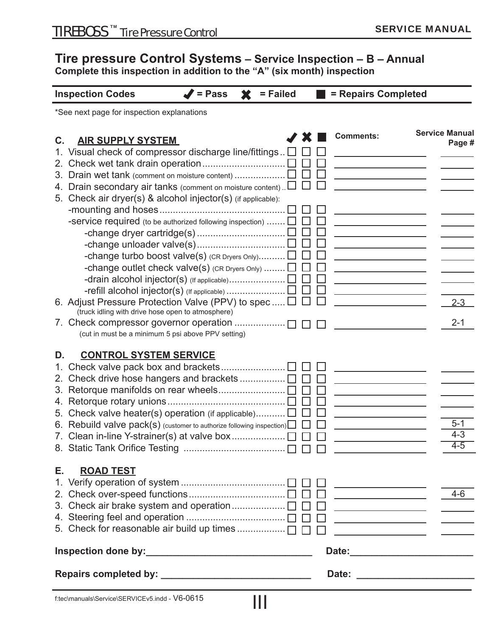#### **Tire pressure Control Systems – Service Inspection – B – Annual**

**Complete this inspection in addition to the "A" (six month) inspection** 

| <b>Inspection Codes</b>                                                      | = Pass | = Failed |   |        | = Repairs Completed                                                                                                     |                       |
|------------------------------------------------------------------------------|--------|----------|---|--------|-------------------------------------------------------------------------------------------------------------------------|-----------------------|
| *See next page for inspection explanations                                   |        |          |   |        |                                                                                                                         |                       |
|                                                                              |        |          | ж |        | <b>Comments:</b>                                                                                                        | <b>Service Manual</b> |
| <b>AIR SUPPLY SYSTEM</b><br>$\mathbf{C}$ .                                   |        |          |   |        |                                                                                                                         | Page #                |
| 1. Visual check of compressor discharge line/fittings [                      |        |          |   |        |                                                                                                                         |                       |
| $2_{\cdot}$                                                                  |        |          |   |        |                                                                                                                         |                       |
| 3. Drain wet tank (comment on moisture content)                              |        |          |   |        |                                                                                                                         |                       |
| 4. Drain secondary air tanks (comment on moisture content).                  |        |          |   |        |                                                                                                                         |                       |
| 5. Check air dryer(s) & alcohol injector(s) (if applicable):                 |        |          |   |        |                                                                                                                         |                       |
|                                                                              |        |          |   |        |                                                                                                                         |                       |
| -service required (to be authorized following inspection) $\square$          |        |          |   |        |                                                                                                                         |                       |
|                                                                              |        |          |   |        |                                                                                                                         |                       |
|                                                                              |        |          |   |        |                                                                                                                         |                       |
| -change turbo boost valve(s) (CR Dryers Only)                                |        |          |   |        |                                                                                                                         |                       |
| -change outlet check valve(s) (CR Dryers Only) $\square$                     |        |          |   |        |                                                                                                                         |                       |
|                                                                              |        |          |   |        |                                                                                                                         |                       |
|                                                                              |        |          |   |        |                                                                                                                         |                       |
| 6. Adjust Pressure Protection Valve (PPV) to spec $\Box$                     |        |          |   |        |                                                                                                                         | $2 - 3$               |
| (truck idling with drive hose open to atmosphere)                            |        |          |   |        |                                                                                                                         |                       |
| 7. Check compressor governor operation                                       |        |          |   |        |                                                                                                                         | $2 - 1$               |
| (cut in must be a minimum 5 psi above PPV setting)                           |        |          |   |        |                                                                                                                         |                       |
|                                                                              |        |          |   |        |                                                                                                                         |                       |
| <b>CONTROL SYSTEM SERVICE</b><br>D.                                          |        |          |   |        |                                                                                                                         |                       |
| 1.                                                                           |        |          |   |        |                                                                                                                         |                       |
| 2.                                                                           |        |          |   |        |                                                                                                                         |                       |
| 3.                                                                           |        |          |   |        |                                                                                                                         |                       |
| 4.                                                                           |        |          |   |        |                                                                                                                         |                       |
| 5. Check valve heater(s) operation (if applicable)                           |        |          |   |        |                                                                                                                         |                       |
| 6. Rebuild valve pack(s) (customer to authorize following inspection) $\Box$ |        |          |   |        |                                                                                                                         | $5 - 1$               |
|                                                                              |        |          |   |        |                                                                                                                         | $4 - 3$               |
|                                                                              |        |          |   |        |                                                                                                                         | $4 - 5$               |
|                                                                              |        |          |   |        |                                                                                                                         |                       |
| Е.<br><b>ROAD TEST</b>                                                       |        |          |   |        |                                                                                                                         |                       |
|                                                                              |        |          |   |        |                                                                                                                         |                       |
|                                                                              |        |          |   | $\Box$ |                                                                                                                         | $4-6$                 |
|                                                                              |        |          |   | $\Box$ |                                                                                                                         |                       |
|                                                                              |        |          |   |        |                                                                                                                         |                       |
|                                                                              |        |          |   |        | <u> 1989 - Johann Barn, mars et al. 1989 - Johann Barn, mars et al. 1989 - Johann Barn, mars et al. 1989 - Johann B</u> |                       |
|                                                                              |        |          |   |        |                                                                                                                         |                       |
|                                                                              |        |          |   |        |                                                                                                                         |                       |
|                                                                              |        |          |   |        |                                                                                                                         |                       |
| f:tec\manuals\Service\SERVICEv5.indd - V6-0615                               |        |          |   |        |                                                                                                                         |                       |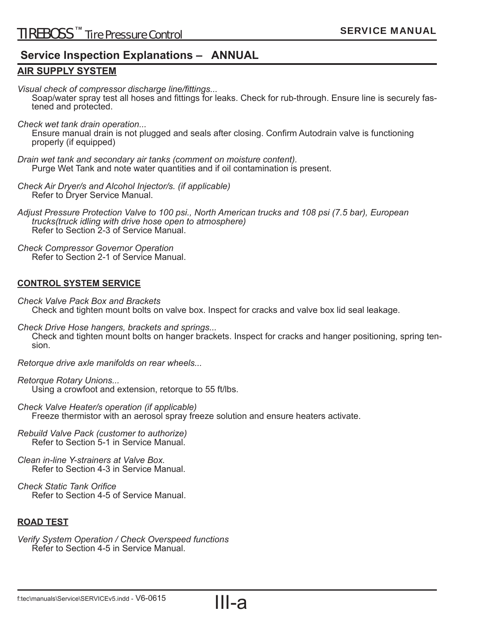#### **Service Inspection Explanations – ANNUAL**

#### **AIR SUPPLY SYSTEM**

*Visual check of compressor discharge line/fi ttings...*

Soap/water spray test all hoses and fittings for leaks. Check for rub-through. Ensure line is securely fastened and protected.

*Check wet tank drain operation...*

Ensure manual drain is not plugged and seals after closing. Confirm Autodrain valve is functioning properly (if equipped)

- *Drain wet tank and secondary air tanks (comment on moisture content).* Purge Wet Tank and note water quantities and if oil contamination is present.
- *Check Air Dryer/s and Alcohol Injector/s. (if applicable)* Refer to Dryer Service Manual.

*Adjust Pressure Protection Valve to 100 psi., North American trucks and 108 psi (7.5 bar), European trucks(truck idling with drive hose open to atmosphere)* Refer to Section 2-3 of Service Manual.

*Check Compressor Governor Operation* Refer to Section 2-1 of Service Manual.

#### **CONTROL SYSTEM SERVICE**

*Check Valve Pack Box and Brackets* Check and tighten mount bolts on valve box. Inspect for cracks and valve box lid seal leakage.

*Check Drive Hose hangers, brackets and springs...* Check and tighten mount bolts on hanger brackets. Inspect for cracks and hanger positioning, spring tension.

*Retorque drive axle manifolds on rear wheels...*

- *Retorque Rotary Unions...* Using a crowfoot and extension, retorque to 55 ft/lbs.
- *Check Valve Heater/s operation (if applicable)* Freeze thermistor with an aerosol spray freeze solution and ensure heaters activate.
- *Rebuild Valve Pack (customer to authorize)* Refer to Section 5-1 in Service Manual.
- *Clean in-line Y-strainers at Valve Box.* Refer to Section 4-3 in Service Manual.
- *Check Static Tank Orifice* Refer to Section 4-5 of Service Manual.

#### **ROAD TEST**

*Verify System Operation / Check Overspeed functions* Refer to Section 4-5 in Service Manual.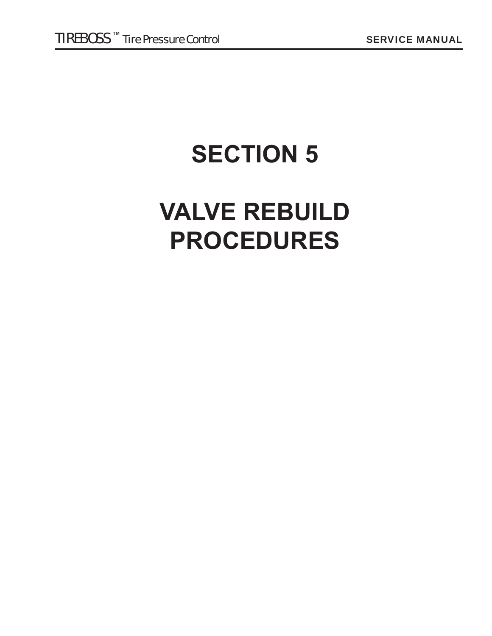## **SECTION 5**

## **VALVE REBUILD PROCEDURES**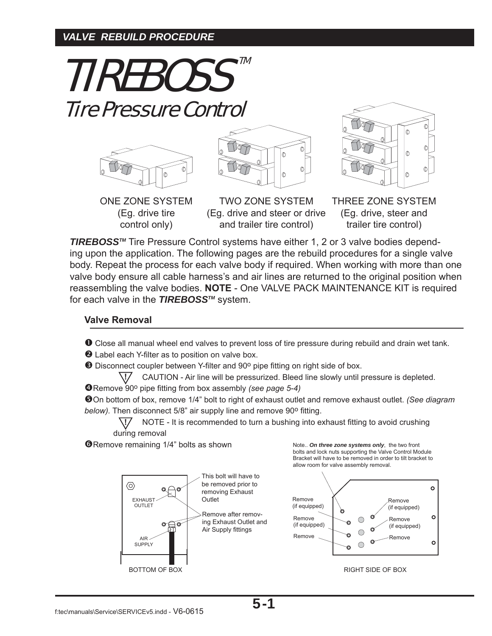#### *VALVE REBUILD PROCEDURE*

TIREBOSS<sup>TM</sup> Tire Pressure Control











THREE ZONE SYSTEM (Eg. drive, steer and trailer tire control)

**TIREBOSS™** Tire Pressure Control systems have either 1, 2 or 3 valve bodies depending upon the application. The following pages are the rebuild procedures for a single valve body. Repeat the process for each valve body if required. When working with more than one valve body ensure all cable harness's and air lines are returned to the original position when reassembling the valve bodies. **NOTE** - One VALVE PACK MAINTENANCE KIT is required for each valve in the *TIREBOSSTM* system.

#### **Valve Removal**

**O** Close all manual wheel end valves to prevent loss of tire pressure during rebuild and drain wet tank.

**2** Label each Y-filter as to position on valve box.

**O** Disconnect coupler between Y-filter and 90° pipe fitting on right side of box.

 CAUTION - Air line will be pressurized. Bleed line slowly until pressure is depleted. **!**

**O**Remove 90° pipe fitting from box assembly *(see page 5-4)* 

On bottom of box, remove 1/4" bolt to right of exhaust outlet and remove exhaust outlet. *(See diagram below)*. Then disconnect 5/8" air supply line and remove 90° fitting.

NOTE - It is recommended to turn a bushing into exhaust fitting to avoid crushing during removal **!**

**O**Remove remaining 1/4" bolts as shown



Note.. *On three zone systems only*, the two front bolts and lock nuts supporting the Valve Control Module Bracket will have to be removed in order to tilt bracket to allow room for valve assembly removal.



5-1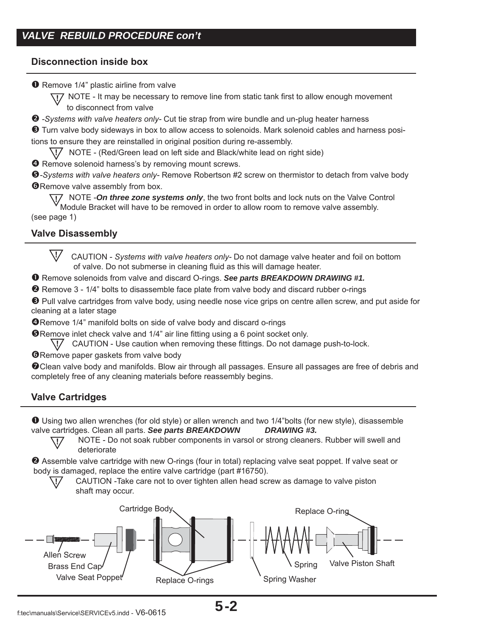#### **Disconnection inside box**

**O** Remove 1/4" plastic airline from valve

**!?** NOTE - It may be necessary to remove line from static tank first to allow enough movement to disconnect from valve

*-Systems with valve heaters only-* Cut tie strap from wire bundle and un-plug heater harness

 Turn valve body sideways in box to allow access to solenoids. Mark solenoid cables and harness positions to ensure they are reinstalled in original position during re-assembly.

NOTE - (Red/Green lead on left side and Black/white lead on right side) **!**

**O** Remove solenoid harness's by removing mount screws.

**6**-Systems with valve heaters only- Remove Robertson #2 screw on thermistor to detach from valve body **O**Remove valve assembly from box.

 NOTE -*On three zone systems only*, the two front bolts and lock nuts on the Valve Control **!** Module Bracket will have to be removed in order to allow room to remove valve assembly. (see page 1)

#### **Valve Disassembly**

 CAUTION - *Systems with valve heaters only-* Do not damage valve heater and foil on bottom of valve. Do not submerse in cleaning fluid as this will damage heater. **!**

Remove solenoids from valve and discard O-rings. *See parts BREAKDOWN DRAWING #1.*

**2** Remove 3 - 1/4" bolts to disassemble face plate from valve body and discard rubber o-rings

 Pull valve cartridges from valve body, using needle nose vice grips on centre allen screw, and put aside for cleaning at a later stage

**ORemove 1/4" manifold bolts on side of valve body and discard o-rings** 

**O**Remove inlet check valve and 1/4" air line fitting using a 6 point socket only.

\!/ CAUTION - Use caution when removing these fittings. Do not damage push-to-lock.

**O**Remove paper gaskets from valve body

Clean valve body and manifolds. Blow air through all passages. Ensure all passages are free of debris and completely free of any cleaning materials before reassembly begins.

#### **Valve Cartridges**

**!**

**!**

 Using two allen wrenches (for old style) or allen wrench and two 1/4"bolts (for new style), disassemble valve cartridges. Clean all parts. *See parts BREAKDOWN DRAWING #3.*

 NOTE - Do not soak rubber components in varsol or strong cleaners. Rubber will swell and deteriorate

 Assemble valve cartridge with new O-rings (four in total) replacing valve seat poppet. If valve seat or body is damaged, replace the entire valve cartridge (part #16750).

 CAUTION -Take care not to over tighten allen head screw as damage to valve piston shaft may occur.

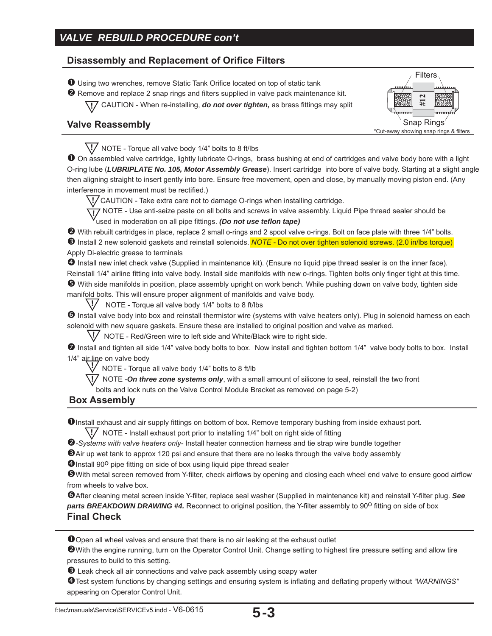#### **Disassembly and Replacement of Orifice Filters**

**O** Using two wrenches, remove Static Tank Orifice located on top of static tank

 $\bullet$  Remove and replace 2 snap rings and filters supplied in valve pack maintenance kit.

**17** CAUTION - When re-installing, *do not over tighten,* as brass fittings may split



#### **Valve Reassembly**

NOTE - Torque all valve body 1/4" bolts to 8 ft/lbs **!**

 On assembled valve cartridge, lightly lubricate O-rings, brass bushing at end of cartridges and valve body bore with a light O-ring lube (*LUBRIPLATE No. 105, Motor Assembly Grease*). Insert cartridge into bore of valve body. Starting at a slight angle then aligning straight to insert gently into bore. Ensure free movement, open and close, by manually moving piston end. (Any interference in movement must be rectified.)

CAUTION - Take extra care not to damage O-rings when installing cartridge. **!**

**TO** NOTE - Use anti-seize paste on all bolts and screws in valve assembly. Liquid Pipe thread sealer should be used in moderation on all pipe fittings. *(Do not use teflon tape)* 

 With rebuilt cartridges in place, replace 2 small o-rings and 2 spool valve o-rings. Bolt on face plate with three 1/4" bolts. **6** Install 2 new solenoid gaskets and reinstall solenoids. *NOTE* - Do not over tighten solenoid screws. (2.0 in/lbs torque) Apply Di-electric grease to terminals

 Install new inlet check valve (Supplied in maintenance kit). (Ensure no liquid pipe thread sealer is on the inner face). Reinstall 1/4" airline fitting into valve body. Install side manifolds with new o-rings. Tighten bolts only finger tight at this time. With side manifolds in position, place assembly upright on work bench. While pushing down on valve body, tighten side manifold bolts. This will ensure proper alignment of manifolds and valve body.

NOTE - Torque all valve body 1/4" bolts to 8 ft/lbs **!**

<sup>1</sup> Install valve body into box and reinstall thermistor wire (systems with valve heaters only). Plug in solenoid harness on each solenoid with new square gaskets. Ensure these are installed to original position and valve as marked.

NOTE - Red/Green wire to left side and White/Black wire to right side. **!**

 Install and tighten all side 1/4" valve body bolts to box. Now install and tighten bottom 1/4" valve body bolts to box. Install 1/4" air line on valve body

NOTE - Torque all valve body 1/4" bolts to 8 ft/lb **!**

\!/ NOTE -On three zone systems only, with a small amount of silicone to seal, reinstall the two front

bolts and lock nuts on the Valve Control Module Bracket as removed on page 5-2)

#### **Box Assembly**

**O** Install exhaust and air supply fittings on bottom of box. Remove temporary bushing from inside exhaust port.

\!/ NOTE - Install exhaust port prior to installing 1/4" bolt on right side of fitting

*-Systems with valve heaters only-* Install heater connection harness and tie strap wire bundle together

Air up wet tank to approx 120 psi and ensure that there are no leaks through the valve body assembly

**O** Install 90<sup>o</sup> pipe fitting on side of box using liquid pipe thread sealer

**G** With metal screen removed from Y-filter, check airflows by opening and closing each wheel end valve to ensure good airflow from wheels to valve box.

**G**After cleaning metal screen inside Y-filter, replace seal washer (Supplied in maintenance kit) and reinstall Y-filter plug. See **parts BREAKDOWN DRAWING #4.** Reconnect to original position, the Y-filter assembly to 90<sup>o</sup> fitting on side of box **Final Check**

Open all wheel valves and ensure that there is no air leaking at the exhaust outlet

With the engine running, turn on the Operator Control Unit. Change setting to highest tire pressure setting and allow tire pressures to build to this setting.

**B** Leak check all air connections and valve pack assembly using soapy water

 $\bullet$  Test system functions by changing settings and ensuring system is inflating and deflating properly without "WARNINGS" appearing on Operator Control Unit.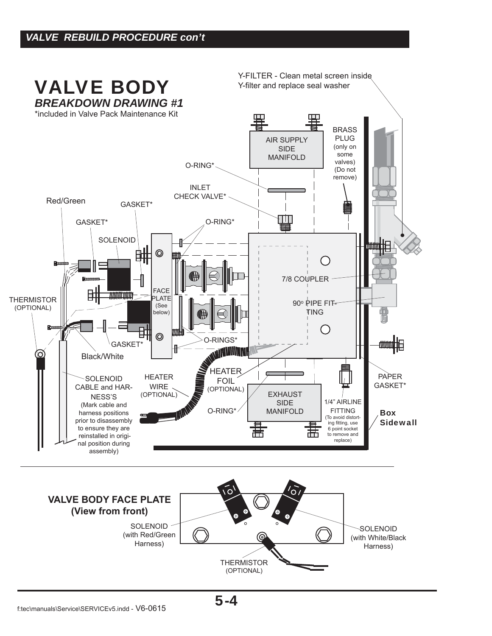

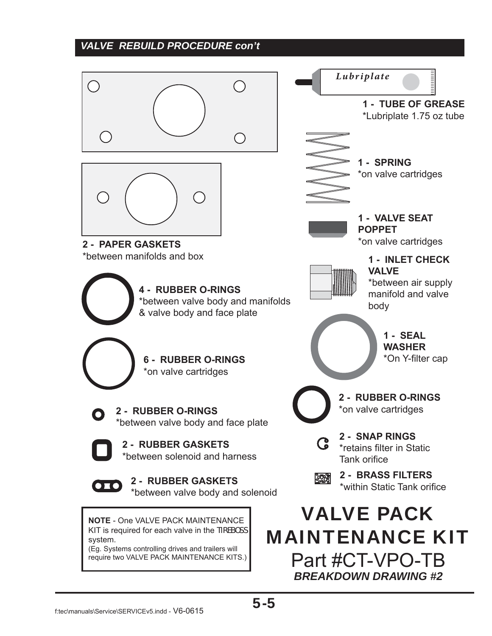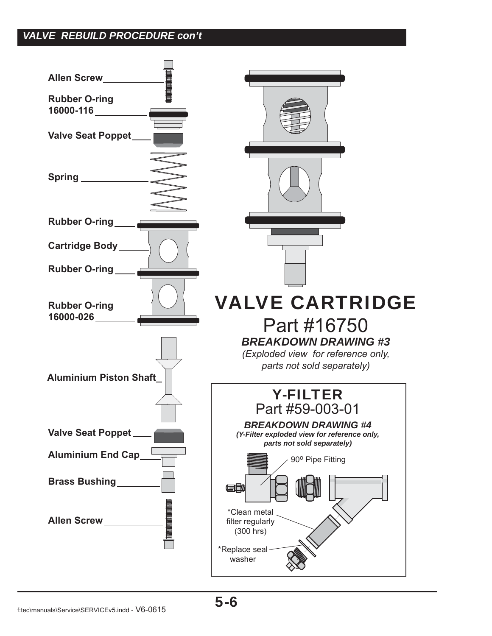